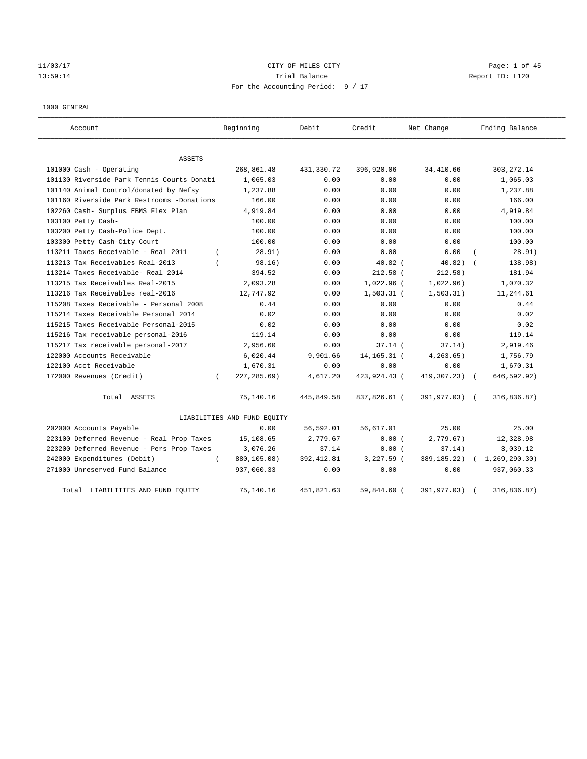# 11/03/17 CITY OF MILES CITY Page: 1 of 45 13:59:14 Trial Balance Report ID: L120 For the Accounting Period: 9 / 17

### 1000 GENERAL

| Account                                    | Beginning                   | Debit       | Credit        | Net Change    | Ending Balance  |
|--------------------------------------------|-----------------------------|-------------|---------------|---------------|-----------------|
| <b>ASSETS</b>                              |                             |             |               |               |                 |
| 101000 Cash - Operating                    | 268,861.48                  | 431,330.72  | 396,920.06    | 34,410.66     | 303, 272.14     |
| 101130 Riverside Park Tennis Courts Donati | 1,065.03                    | 0.00        | 0.00          | 0.00          | 1,065.03        |
| 101140 Animal Control/donated by Nefsy     | 1,237.88                    | 0.00        | 0.00          | 0.00          | 1,237.88        |
| 101160 Riverside Park Restrooms -Donations | 166.00                      | 0.00        | 0.00          | 0.00          | 166.00          |
| 102260 Cash- Surplus EBMS Flex Plan        | 4,919.84                    | 0.00        | 0.00          | 0.00          | 4,919.84        |
| 103100 Petty Cash-                         | 100.00                      | 0.00        | 0.00          | 0.00          | 100.00          |
| 103200 Petty Cash-Police Dept.             | 100.00                      | 0.00        | 0.00          | 0.00          | 100.00          |
| 103300 Petty Cash-City Court               | 100.00                      | 0.00        | 0.00          | 0.00          | 100.00          |
| 113211 Taxes Receivable - Real 2011        | 28.91)<br>$\left($          | 0.00        | 0.00          | 0.00          | 28.91)          |
| 113213 Tax Receivables Real-2013           | 98.16)                      | 0.00        | $40.82$ (     | 40.82)        | 138.98)         |
| 113214 Taxes Receivable- Real 2014         | 394.52                      | 0.00        | $212.58$ (    | 212.58)       | 181.94          |
| 113215 Tax Receivables Real-2015           | 2,093.28                    | 0.00        | $1,022.96$ (  | 1,022.96)     | 1,070.32        |
| 113216 Tax Receivables real-2016           | 12,747.92                   | 0.00        | $1,503.31$ (  | 1, 503.31)    | 11,244.61       |
| 115208 Taxes Receivable - Personal 2008    | 0.44                        | 0.00        | 0.00          | 0.00          | 0.44            |
| 115214 Taxes Receivable Personal 2014      | 0.02                        | 0.00        | 0.00          | 0.00          | 0.02            |
| 115215 Taxes Receivable Personal-2015      | 0.02                        | 0.00        | 0.00          | 0.00          | 0.02            |
| 115216 Tax receivable personal-2016        | 119.14                      | 0.00        | 0.00          | 0.00          | 119.14          |
| 115217 Tax receivable personal-2017        | 2,956.60                    | 0.00        | $37.14$ (     | 37.14)        | 2,919.46        |
| 122000 Accounts Receivable                 | 6,020.44                    | 9,901.66    | 14, 165. 31 ( | 4, 263.65)    | 1,756.79        |
| 122100 Acct Receivable                     | 1,670.31                    | 0.00        | 0.00          | 0.00          | 1,670.31        |
| 172000 Revenues (Credit)                   | 227, 285.69)<br>$\left($    | 4,617.20    | 423,924.43 (  | 419,307.23)   | 646,592.92)     |
| Total ASSETS                               | 75,140.16                   | 445,849.58  | 837,826.61 (  | 391,977.03) ( | 316,836.87)     |
|                                            | LIABILITIES AND FUND EQUITY |             |               |               |                 |
| 202000 Accounts Payable                    | 0.00                        | 56,592.01   | 56,617.01     | 25.00         | 25.00           |
| 223100 Deferred Revenue - Real Prop Taxes  | 15,108.65                   | 2,779.67    | 0.00(         | 2,779.67)     | 12,328.98       |
| 223200 Deferred Revenue - Pers Prop Taxes  | 3,076.26                    | 37.14       | 0.00(         | 37.14)        | 3,039.12        |
| 242000 Expenditures (Debit)                | 880,105.08)<br>$\left($     | 392, 412.81 | $3,227.59$ (  | 389, 185. 22) | 1, 269, 290.30) |
| 271000 Unreserved Fund Balance             | 937,060.33                  | 0.00        | 0.00          | 0.00          | 937,060.33      |
| LIABILITIES AND FUND EQUITY<br>Total       | 75,140.16                   | 451,821.63  | 59,844.60 (   | 391,977.03)   | 316,836.87)     |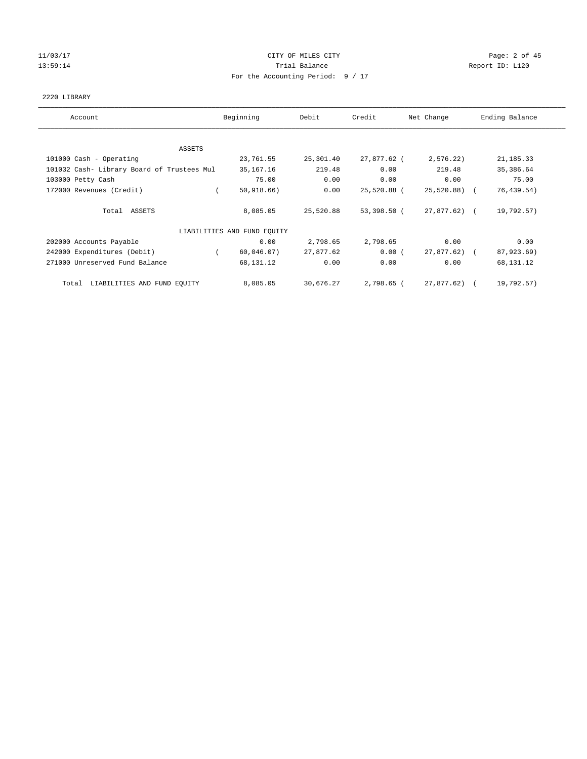## 11/03/17 CITY OF MILES CITY Page: 2 of 45 13:59:14 Channel Trial Balance Report ID: L120 For the Accounting Period: 9 / 17

## 2220 LIBRARY

| Account                                    | Beginning                   | Debit     | Credit      | Net Change   | Ending Balance |
|--------------------------------------------|-----------------------------|-----------|-------------|--------------|----------------|
|                                            |                             |           |             |              |                |
| ASSETS                                     |                             |           |             |              |                |
| 101000 Cash - Operating                    | 23,761.55                   | 25,301.40 | 27,877.62 ( | 2,576.22)    | 21, 185. 33    |
| 101032 Cash- Library Board of Trustees Mul | 35,167.16                   | 219.48    | 0.00        | 219.48       | 35,386.64      |
| 103000 Petty Cash                          | 75.00                       | 0.00      | 0.00        | 0.00         | 75.00          |
| 172000 Revenues (Credit)                   | 50, 918.66)                 | 0.00      | 25,520.88 ( | 25,520.88) ( | 76, 439.54)    |
| Total ASSETS                               | 8,085.05                    | 25,520.88 | 53,398.50 ( | 27,877.62) ( | 19,792.57)     |
|                                            | LIABILITIES AND FUND EQUITY |           |             |              |                |
| 202000 Accounts Payable                    | 0.00                        | 2,798.65  | 2,798.65    | 0.00         | 0.00           |
| 242000 Expenditures (Debit)                | 60,046.07)<br>$\sqrt{2}$    | 27,877.62 | 0.00(       | 27,877.62) ( | 87,923.69)     |
| 271000 Unreserved Fund Balance             | 68,131.12                   | 0.00      | 0.00        | 0.00         | 68,131.12      |
| LIABILITIES AND FUND EQUITY<br>Total       | 8,085.05                    | 30,676.27 | 2,798.65 (  | 27,877.62) ( | 19,792.57)     |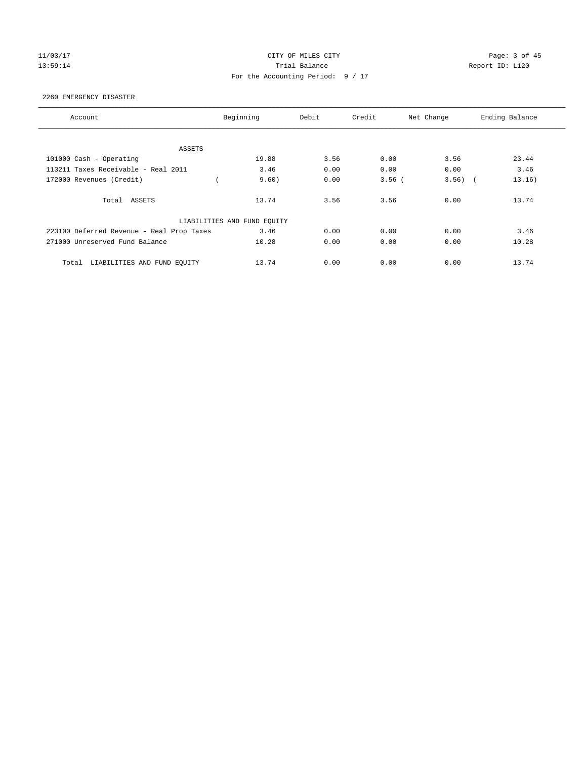## 11/03/17 CITY OF MILES CITY Page: 3 of 45 13:59:14 **Trial Balance Trial Balance Report ID:** L120 For the Accounting Period: 9 / 17

### 2260 EMERGENCY DISASTER

| Account                                   | Beginning                   | Debit | Credit   | Net Change          | Ending Balance |
|-------------------------------------------|-----------------------------|-------|----------|---------------------|----------------|
|                                           |                             |       |          |                     |                |
| ASSETS                                    |                             |       |          |                     |                |
| 101000 Cash - Operating                   | 19.88                       | 3.56  | 0.00     | 3.56                | 23.44          |
| 113211 Taxes Receivable - Real 2011       | 3.46                        | 0.00  | 0.00     | 0.00                | 3.46           |
| 172000 Revenues (Credit)                  | 9.60)                       | 0.00  | $3.56$ ( | 3.56)<br>$\sqrt{2}$ | 13.16)         |
| Total ASSETS                              | 13.74                       | 3.56  | 3.56     | 0.00                | 13.74          |
|                                           | LIABILITIES AND FUND EQUITY |       |          |                     |                |
| 223100 Deferred Revenue - Real Prop Taxes | 3.46                        | 0.00  | 0.00     | 0.00                | 3.46           |
| 271000 Unreserved Fund Balance            | 10.28                       | 0.00  | 0.00     | 0.00                | 10.28          |
| LIABILITIES AND FUND EQUITY<br>Total      | 13.74                       | 0.00  | 0.00     | 0.00                | 13.74          |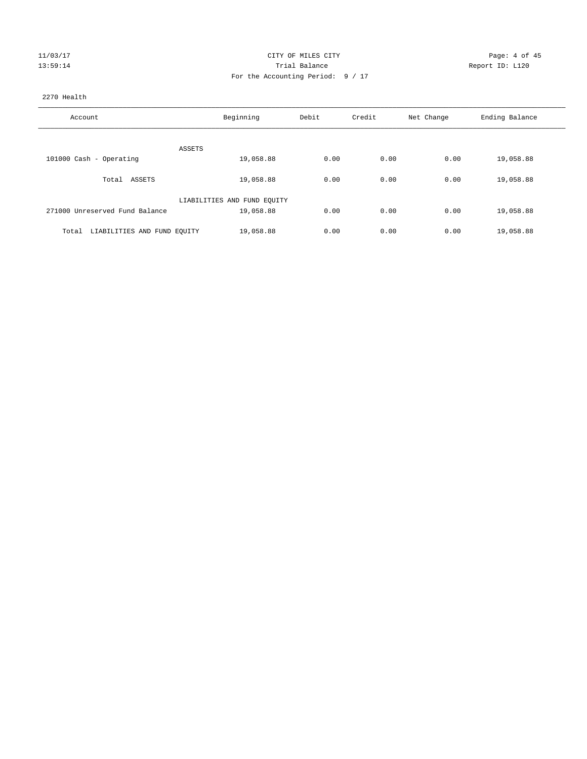| U3/1<br>1/2<br>ш. |  |
|-------------------|--|
| Э<br>C.           |  |

## CITY OF MILES CITY CONTROL CONTROL CITY CONTROL PAGE: 4 of 45 13:59:14 Trial Balance Report ID: L120 For the Accounting Period: 9 / 17

## 2270 Health

| Account                              | Beginning                   | Debit | Credit | Net Change | Ending Balance |
|--------------------------------------|-----------------------------|-------|--------|------------|----------------|
|                                      |                             |       |        |            |                |
|                                      | ASSETS                      |       |        |            |                |
| 101000 Cash - Operating              | 19,058.88                   | 0.00  | 0.00   | 0.00       | 19,058.88      |
| Total ASSETS                         | 19,058.88                   | 0.00  | 0.00   | 0.00       | 19,058.88      |
|                                      | LIABILITIES AND FUND EQUITY |       |        |            |                |
| 271000 Unreserved Fund Balance       | 19,058.88                   | 0.00  | 0.00   | 0.00       | 19,058.88      |
|                                      |                             |       |        |            |                |
| LIABILITIES AND FUND EQUITY<br>Total | 19,058.88                   | 0.00  | 0.00   | 0.00       | 19,058.88      |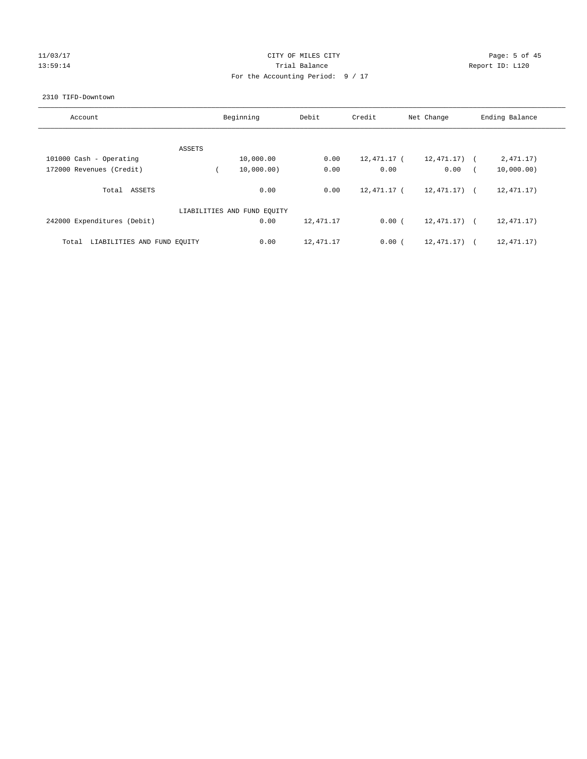## 11/03/17 CITY OF MILES CITY Page: 5 of 45 13:59:14 Channel Trial Balance Report ID: L120 For the Accounting Period: 9 / 17

## 2310 TIFD-Downtown

| Account                              |        | Beginning                   | Debit     | Credit      | Net Change   | Ending Balance        |
|--------------------------------------|--------|-----------------------------|-----------|-------------|--------------|-----------------------|
|                                      |        |                             |           |             |              |                       |
|                                      | ASSETS |                             |           |             |              |                       |
| 101000 Cash - Operating              |        | 10,000.00                   | 0.00      | 12,471.17 ( | 12,471.17)   | 2,471.17)             |
| 172000 Revenues (Credit)             |        | 10,000.00)                  | 0.00      | 0.00        | 0.00         | 10,000.00)            |
| ASSETS<br>Total                      |        | 0.00                        | 0.00      | 12,471.17 ( | 12,471.17) ( | 12, 471.17)           |
|                                      |        | LIABILITIES AND FUND EQUITY |           |             |              |                       |
| 242000 Expenditures (Debit)          |        | 0.00                        | 12,471.17 | 0.00(       | 12,471.17) ( | 12, 471.17)           |
| LIABILITIES AND FUND EQUITY<br>Total |        | 0.00                        | 12,471.17 | 0.00(       | 12, 471, 17) | 12, 471.17)<br>$\sim$ |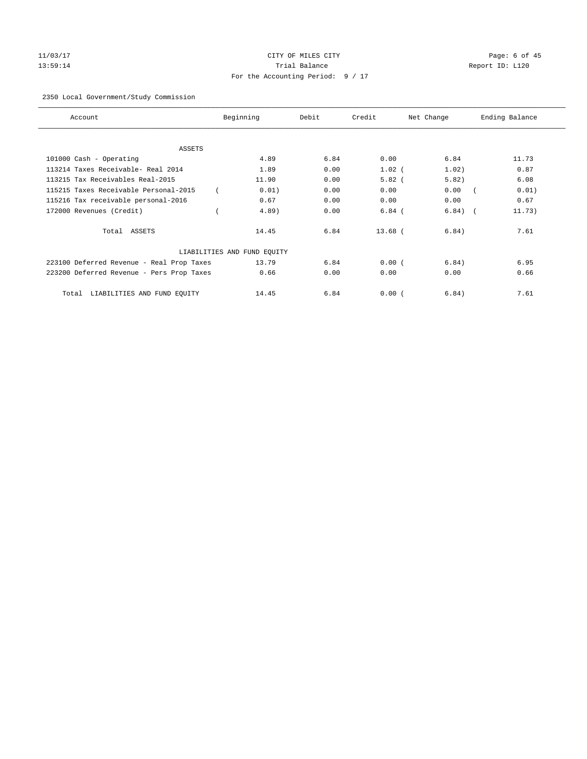# 11/03/17 CITY OF MILES CITY Page: 6 of 45 13:59:14 **Trial Balance Trial Balance Report ID:** L120 For the Accounting Period: 9 / 17

## 2350 Local Government/Study Commission

| Account                                   | Beginning                   | Debit | Credit    | Net Change | Ending Balance |
|-------------------------------------------|-----------------------------|-------|-----------|------------|----------------|
| <b>ASSETS</b>                             |                             |       |           |            |                |
| 101000 Cash - Operating                   | 4.89                        | 6.84  | 0.00      | 6.84       | 11.73          |
| 113214 Taxes Receivable- Real 2014        | 1.89                        | 0.00  | $1.02$ (  | 1.02)      | 0.87           |
| 113215 Tax Receivables Real-2015          | 11.90                       | 0.00  | $5.82$ (  | 5.82)      | 6.08           |
| 115215 Taxes Receivable Personal-2015     | 0.01)                       | 0.00  | 0.00      | 0.00       | 0.01)          |
| 115216 Tax receivable personal-2016       | 0.67                        | 0.00  | 0.00      | 0.00       | 0.67           |
| 172000 Revenues (Credit)                  | $4.89$ )                    | 0.00  | $6.84$ (  | 6.84)      | 11.73)         |
| Total ASSETS                              | 14.45                       | 6.84  | $13.68$ ( | 6.84)      | 7.61           |
|                                           | LIABILITIES AND FUND EQUITY |       |           |            |                |
| 223100 Deferred Revenue - Real Prop Taxes | 13.79                       | 6.84  | 0.00(     | 6.84)      | 6.95           |
| 223200 Deferred Revenue - Pers Prop Taxes | 0.66                        | 0.00  | 0.00      | 0.00       | 0.66           |
| LIABILITIES AND FUND EQUITY<br>Total      | 14.45                       | 6.84  | 0.00(     | 6.84)      | 7.61           |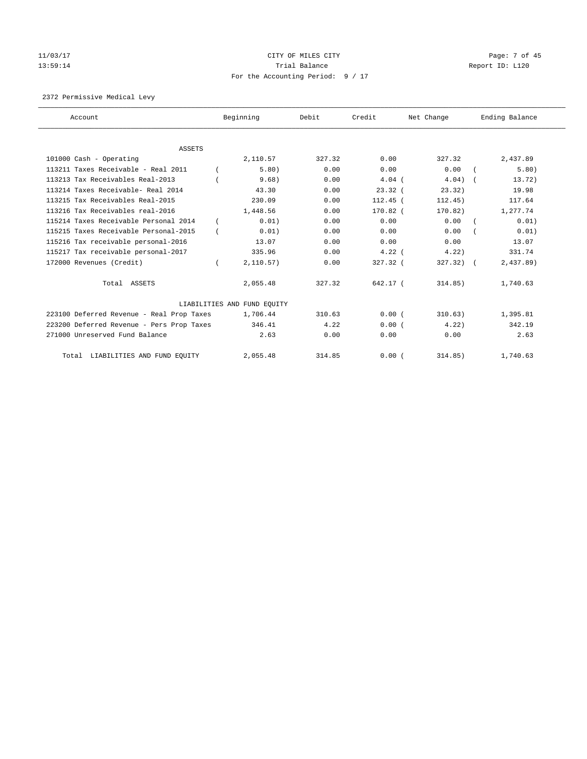# 11/03/17 CITY OF MILES CITY Page: 7 of 45 13:59:14 Channel Report ID: L120 For the Accounting Period: 9 / 17

2372 Permissive Medical Levy

| Account                                   | Beginning                   | Debit  | Credit     | Net Change  | Ending Balance |
|-------------------------------------------|-----------------------------|--------|------------|-------------|----------------|
|                                           |                             |        |            |             |                |
| <b>ASSETS</b>                             |                             |        |            |             |                |
| 101000 Cash - Operating                   | 2,110.57                    | 327.32 | 0.00       | 327.32      | 2,437.89       |
| 113211 Taxes Receivable - Real 2011       | 5.80)                       | 0.00   | 0.00       | 0.00        | 5.80)          |
| 113213 Tax Receivables Real-2013          | 9.68)                       | 0.00   | $4.04$ (   | 4.04)       | 13.72)         |
| 113214 Taxes Receivable- Real 2014        | 43.30                       | 0.00   | 23.32(     | 23.32)      | 19.98          |
| 113215 Tax Receivables Real-2015          | 230.09                      | 0.00   | $112.45$ ( | 112.45)     | 117.64         |
| 113216 Tax Receivables real-2016          | 1,448.56                    | 0.00   | $170.82$ ( | 170.82)     | 1,277.74       |
| 115214 Taxes Receivable Personal 2014     | 0.01)                       | 0.00   | 0.00       | 0.00        | 0.01)          |
| 115215 Taxes Receivable Personal-2015     | 0.01)                       | 0.00   | 0.00       | 0.00        | 0.01)          |
| 115216 Tax receivable personal-2016       | 13.07                       | 0.00   | 0.00       | 0.00        | 13.07          |
| 115217 Tax receivable personal-2017       | 335.96                      | 0.00   | $4.22$ (   | 4.22        | 331.74         |
| 172000 Revenues (Credit)                  | 2,110.57)                   | 0.00   | 327.32 (   | $327.32)$ ( | 2,437.89       |
| Total ASSETS                              | 2,055.48                    | 327.32 | 642.17 (   | 314.85)     | 1,740.63       |
|                                           | LIABILITIES AND FUND EQUITY |        |            |             |                |
| 223100 Deferred Revenue - Real Prop Taxes | 1,706.44                    | 310.63 | 0.00(      | 310.63)     | 1,395.81       |
| 223200 Deferred Revenue - Pers Prop Taxes | 346.41                      | 4.22   | 0.00(      | 4.22        | 342.19         |
| 271000 Unreserved Fund Balance            | 2.63                        | 0.00   | 0.00       | 0.00        | 2.63           |
| Total LIABILITIES AND FUND EQUITY         | 2,055.48                    | 314.85 | 0.00(      | 314.85)     | 1,740.63       |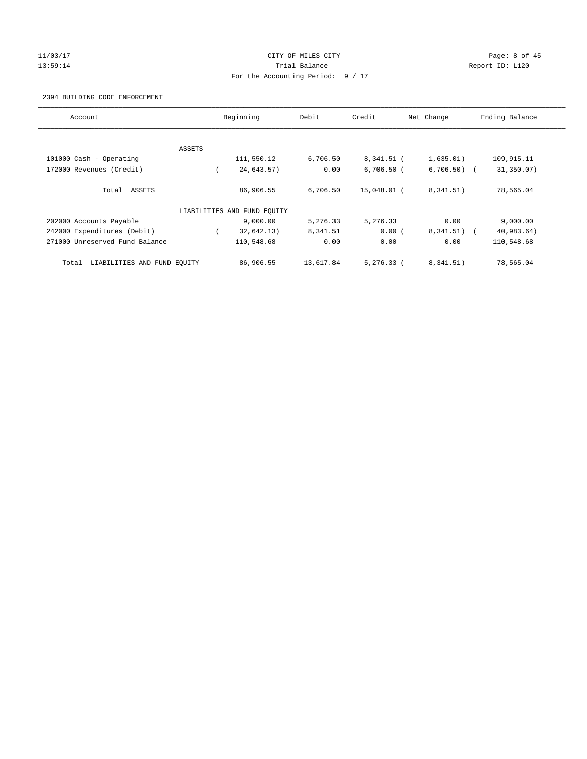## 11/03/17 CITY OF MILES CITY Page: 8 of 45 13:59:14 **Trial Balance Trial Balance Report ID:** L120 For the Accounting Period: 9 / 17

### 2394 BUILDING CODE ENFORCEMENT

| Account                              |        | Beginning                   | Debit     | Credit       | Net Change    | Ending Balance |
|--------------------------------------|--------|-----------------------------|-----------|--------------|---------------|----------------|
|                                      |        |                             |           |              |               |                |
|                                      | ASSETS |                             |           |              |               |                |
| 101000 Cash - Operating              |        | 111,550.12                  | 6,706.50  | 8,341.51 (   | 1,635.01)     | 109,915.11     |
| 172000 Revenues (Credit)             |        | 24,643.57)                  | 0.00      | $6,706.50$ ( | $6,706.50$ (  | 31,350.07)     |
| Total ASSETS                         |        | 86,906.55                   | 6,706.50  | 15,048.01 (  | 8, 341.51)    | 78,565.04      |
|                                      |        | LIABILITIES AND FUND EQUITY |           |              |               |                |
| 202000 Accounts Payable              |        | 9,000.00                    | 5,276.33  | 5,276.33     | 0.00          | 9,000.00       |
| 242000 Expenditures (Debit)          |        | 32,642.13)                  | 8,341.51  | 0.00(        | $8,341.51)$ ( | 40,983.64)     |
| 271000 Unreserved Fund Balance       |        | 110,548.68                  | 0.00      | 0.00         | 0.00          | 110,548.68     |
| LIABILITIES AND FUND EQUITY<br>Total |        | 86,906.55                   | 13,617.84 | $5.276.33$ ( | 8.341.51)     | 78,565.04      |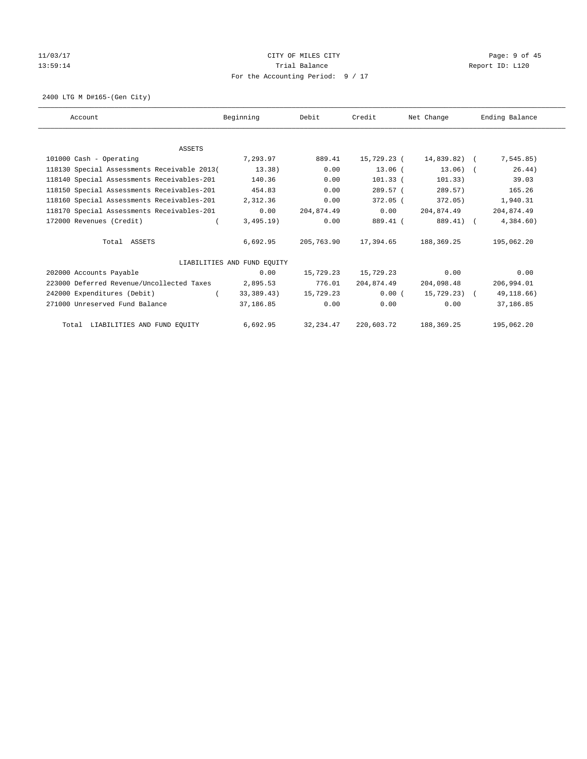## 11/03/17 CITY OF MILES CITY Page: 9 of 45 13:59:14 Channel Trial Balance Channel Report ID: L120 For the Accounting Period: 9 / 17

2400 LTG M D#165-(Gen City)

| Account                                     | Beginning                   | Debit      | Credit      | Net Change   | Ending Balance |
|---------------------------------------------|-----------------------------|------------|-------------|--------------|----------------|
|                                             |                             |            |             |              |                |
| <b>ASSETS</b>                               |                             |            |             |              |                |
| 101000 Cash - Operating                     | 7,293.97                    | 889.41     | 15,729.23 ( | 14,839.82) ( | 7, 545.85)     |
| 118130 Special Assessments Receivable 2013( | 13.38)                      | 0.00       | $13.06$ (   | $13.06$ ) (  | 26.44)         |
| 118140 Special Assessments Receivables-201  | 140.36                      | 0.00       | $101.33$ (  | 101.33)      | 39.03          |
| 118150 Special Assessments Receivables-201  | 454.83                      | 0.00       | 289.57 (    | 289.57)      | 165.26         |
| 118160 Special Assessments Receivables-201  | 2,312.36                    | 0.00       | 372.05 (    | 372.05)      | 1,940.31       |
| 118170 Special Assessments Receivables-201  | 0.00                        | 204,874.49 | 0.00        | 204,874.49   | 204,874.49     |
| 172000 Revenues (Credit)                    | 3,495.19)                   | 0.00       | 889.41 (    | 889.41) (    | 4,384.60)      |
| Total ASSETS                                | 6,692.95                    | 205,763.90 | 17,394.65   | 188,369.25   | 195,062.20     |
|                                             | LIABILITIES AND FUND EQUITY |            |             |              |                |
| 202000 Accounts Payable                     | 0.00                        | 15,729.23  | 15,729.23   | 0.00         | 0.00           |
| 223000 Deferred Revenue/Uncollected Taxes   | 2,895.53                    | 776.01     | 204,874.49  | 204,098.48   | 206,994.01     |
| 242000 Expenditures (Debit)                 | 33,389.43)                  | 15,729.23  | 0.00(       | 15,729.23) ( | 49,118.66)     |
| 271000 Unreserved Fund Balance              | 37,186.85                   | 0.00       | 0.00        | 0.00         | 37,186.85      |
| Total LIABILITIES AND FUND EQUITY           | 6,692.95                    | 32, 234.47 | 220,603.72  | 188,369.25   | 195,062.20     |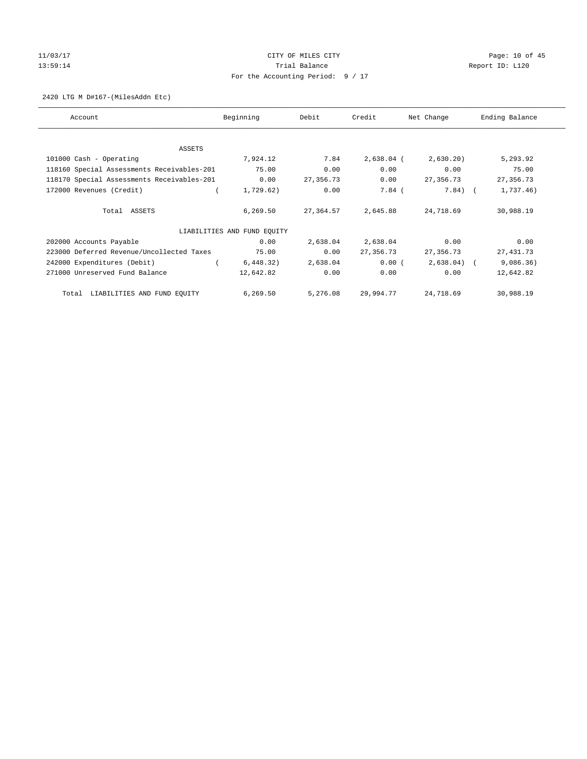# 11/03/17 Page: 10 of 45 13:59:14 Channel Trial Balance Report ID: L120 For the Accounting Period: 9 / 17

## 2420 LTG M D#167-(MilesAddn Etc)

| Account                                    | Beginning                   | Debit     | Credit       | Net Change | Ending Balance |
|--------------------------------------------|-----------------------------|-----------|--------------|------------|----------------|
|                                            |                             |           |              |            |                |
| ASSETS                                     |                             |           |              |            |                |
| 101000 Cash - Operating                    | 7,924.12                    | 7.84      | $2,638.04$ ( | 2,630.20)  | 5,293.92       |
| 118160 Special Assessments Receivables-201 | 75.00                       | 0.00      | 0.00         | 0.00       | 75.00          |
| 118170 Special Assessments Receivables-201 | 0.00                        | 27,356.73 | 0.00         | 27,356.73  | 27, 356.73     |
| 172000 Revenues (Credit)                   | 1,729.62)                   | 0.00      | $7.84$ (     | $7.84)$ (  | 1,737.46)      |
| Total ASSETS                               | 6,269.50                    | 27,364.57 | 2,645.88     | 24,718.69  | 30,988.19      |
|                                            | LIABILITIES AND FUND EQUITY |           |              |            |                |
| 202000 Accounts Payable                    | 0.00                        | 2,638.04  | 2,638.04     | 0.00       | 0.00           |
| 223000 Deferred Revenue/Uncollected Taxes  | 75.00                       | 0.00      | 27,356.73    | 27,356.73  | 27, 431.73     |
| 242000 Expenditures (Debit)                | 6,448.32)                   | 2,638.04  | 0.00(        | 2,638.04)  | 9,086.36)      |
| 271000 Unreserved Fund Balance             | 12,642.82                   | 0.00      | 0.00         | 0.00       | 12,642.82      |
| LIABILITIES AND FUND EQUITY<br>Total       | 6,269.50                    | 5,276.08  | 29,994.77    | 24,718.69  | 30,988.19      |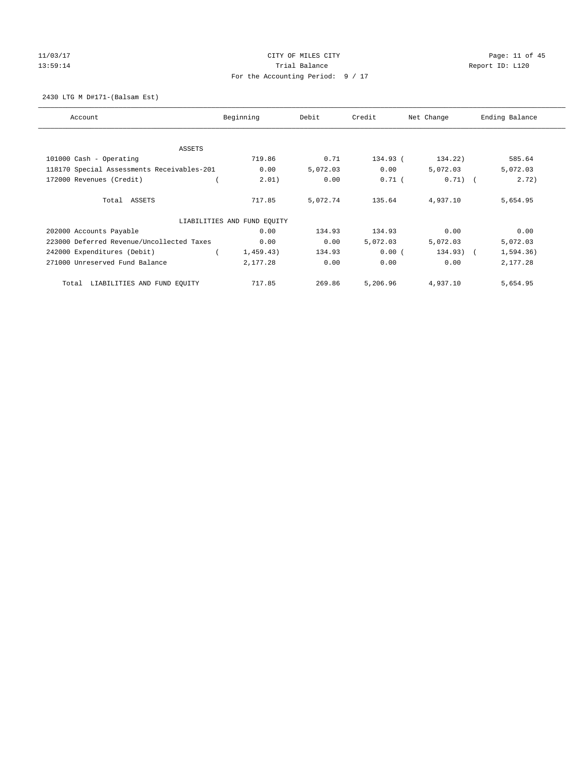# 11/03/17 Page: 11 of 45 13:59:14 Channel Trial Balance Trial Balance Report ID: L120 For the Accounting Period: 9 / 17

2430 LTG M D#171-(Balsam Est)

| Account                                    | Beginning                   | Debit    | Credit   | Net Change  | Ending Balance |
|--------------------------------------------|-----------------------------|----------|----------|-------------|----------------|
|                                            |                             |          |          |             |                |
| ASSETS                                     |                             |          |          |             |                |
| 101000 Cash - Operating                    | 719.86                      | 0.71     | 134.93 ( | 134.22)     | 585.64         |
| 118170 Special Assessments Receivables-201 | 0.00                        | 5,072.03 | 0.00     | 5,072.03    | 5,072.03       |
| 172000 Revenues (Credit)                   | 2.01)                       | 0.00     | $0.71$ ( | $0.71)$ (   | 2.72)          |
| Total ASSETS                               | 717.85                      | 5,072.74 | 135.64   | 4,937.10    | 5,654.95       |
|                                            | LIABILITIES AND FUND EQUITY |          |          |             |                |
| 202000 Accounts Payable                    | 0.00                        | 134.93   | 134.93   | 0.00        | 0.00           |
| 223000 Deferred Revenue/Uncollected Taxes  | 0.00                        | 0.00     | 5,072.03 | 5,072.03    | 5,072.03       |
| 242000 Expenditures (Debit)                | 1,459.43)                   | 134.93   | 0.00(    | $134.93)$ ( | 1,594.36)      |
| 271000 Unreserved Fund Balance             | 2,177.28                    | 0.00     | 0.00     | 0.00        | 2,177.28       |
| LIABILITIES AND FUND EQUITY<br>Total       | 717.85                      | 269.86   | 5,206.96 | 4,937.10    | 5,654.95       |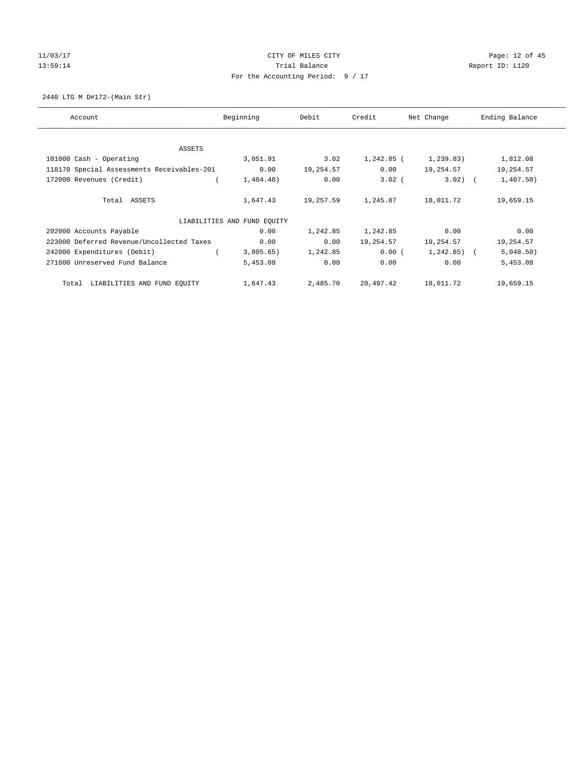# 11/03/17 Page: 12 of 45 13:59:14 Channel Trial Balance Trial Balance Report ID: L120 For the Accounting Period: 9 / 17

2440 LTG M D#172-(Main Str)

| Account                                    | Beginning                   | Debit     | Credit     | Net Change     | Ending Balance |
|--------------------------------------------|-----------------------------|-----------|------------|----------------|----------------|
|                                            |                             |           |            |                |                |
| ASSETS                                     |                             |           |            |                |                |
| 101000 Cash - Operating                    | 3,051.91                    | 3.02      | 1,242.85 ( | 1,239.83)      | 1,812.08       |
| 118170 Special Assessments Receivables-201 | 0.00                        | 19,254.57 | 0.00       | 19,254.57      | 19,254.57      |
| 172000 Revenues (Credit)                   | 1,404.48)                   | 0.00      | $3.02$ (   | $3.02$ ) (     | 1,407.50)      |
| Total ASSETS                               | 1,647.43                    | 19,257.59 | 1,245.87   | 18,011.72      | 19,659.15      |
|                                            | LIABILITIES AND FUND EQUITY |           |            |                |                |
| 202000 Accounts Payable                    | 0.00                        | 1,242.85  | 1,242.85   | 0.00           | 0.00           |
| 223000 Deferred Revenue/Uncollected Taxes  | 0.00                        | 0.00      | 19,254.57  | 19,254.57      | 19,254.57      |
| 242000 Expenditures (Debit)                | 3,805.65)                   | 1,242.85  | $0.00$ (   | $1,242.85$ ) ( | 5,048.50)      |
| 271000 Unreserved Fund Balance             | 5,453.08                    | 0.00      | 0.00       | 0.00           | 5,453.08       |
| LIABILITIES AND FUND EQUITY<br>Total       | 1,647.43                    | 2,485.70  | 20,497.42  | 18,011.72      | 19,659.15      |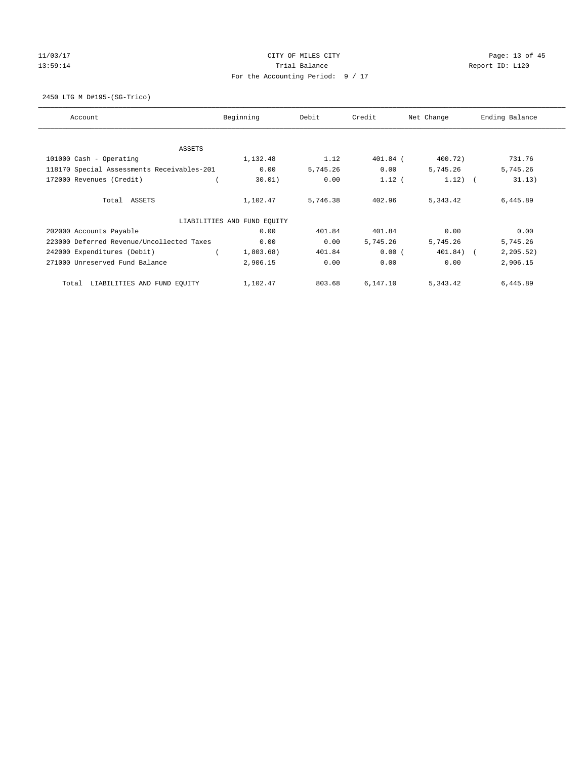## 11/03/17 Page: 13 of 45 13:59:14 Channel Trial Balance Trial Balance Report ID: L120 For the Accounting Period: 9 / 17

2450 LTG M D#195-(SG-Trico)

| Account                                    | Beginning                   | Debit    | Credit   | Net Change | Ending Balance |
|--------------------------------------------|-----------------------------|----------|----------|------------|----------------|
|                                            |                             |          |          |            |                |
| ASSETS                                     |                             |          |          |            |                |
| 101000 Cash - Operating                    | 1,132.48                    | 1.12     | 401.84 ( | 400.72)    | 731.76         |
| 118170 Special Assessments Receivables-201 | 0.00                        | 5,745.26 | 0.00     | 5,745.26   | 5,745.26       |
| 172000 Revenues (Credit)                   | 30.01)                      | 0.00     | $1.12$ ( | $1.12)$ (  | 31.13)         |
| Total ASSETS                               | 1,102.47                    | 5,746.38 | 402.96   | 5,343.42   | 6,445.89       |
|                                            | LIABILITIES AND FUND EQUITY |          |          |            |                |
| 202000 Accounts Payable                    | 0.00                        | 401.84   | 401.84   | 0.00       | 0.00           |
| 223000 Deferred Revenue/Uncollected Taxes  | 0.00                        | 0.00     | 5,745.26 | 5,745.26   | 5,745.26       |
| 242000 Expenditures (Debit)                | 1,803.68)                   | 401.84   | 0.00(    | 401.84) (  | 2, 205.52)     |
| 271000 Unreserved Fund Balance             | 2,906.15                    | 0.00     | 0.00     | 0.00       | 2,906.15       |
| LIABILITIES AND FUND EQUITY<br>Total       | 1,102.47                    | 803.68   | 6,147.10 | 5,343.42   | 6,445.89       |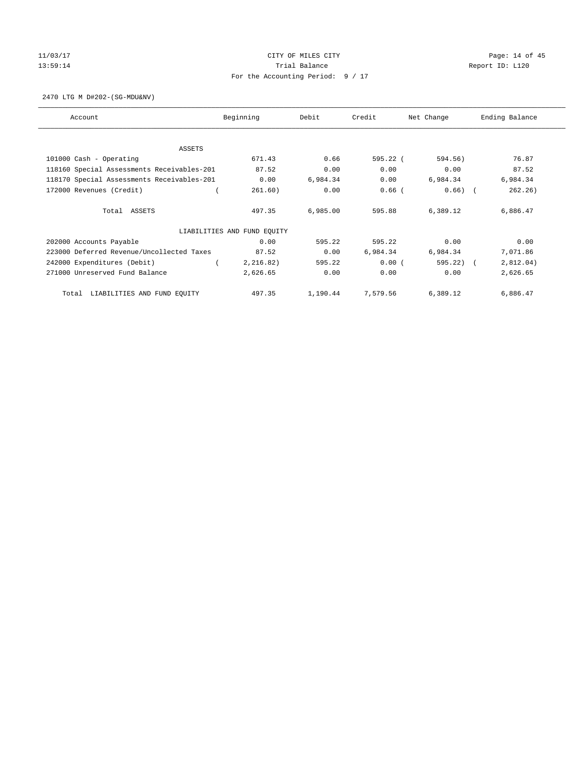# 11/03/17 Page: 14 of 45 13:59:14 Channel Trial Balance Report ID: L120 For the Accounting Period: 9 / 17

2470 LTG M D#202-(SG-MDU&NV)

| Account                                    | Beginning                   | Debit    | Credit   | Net Change | Ending Balance |
|--------------------------------------------|-----------------------------|----------|----------|------------|----------------|
| ASSETS                                     |                             |          |          |            |                |
| 101000 Cash - Operating                    | 671.43                      | 0.66     | 595.22 ( | 594.56)    | 76.87          |
| 118160 Special Assessments Receivables-201 | 87.52                       | 0.00     | 0.00     | 0.00       | 87.52          |
| 118170 Special Assessments Receivables-201 | 0.00                        | 6,984.34 | 0.00     | 6,984.34   | 6,984.34       |
| 172000 Revenues (Credit)                   | 261.60)                     | 0.00     | $0.66$ ( | 0.66)      | 262.26)        |
| Total ASSETS                               | 497.35                      | 6,985.00 | 595.88   | 6,389.12   | 6,886.47       |
|                                            | LIABILITIES AND FUND EQUITY |          |          |            |                |
| 202000 Accounts Payable                    | 0.00                        | 595.22   | 595.22   | 0.00       | 0.00           |
| 223000 Deferred Revenue/Uncollected Taxes  | 87.52                       | 0.00     | 6,984.34 | 6,984.34   | 7,071.86       |
| 242000 Expenditures (Debit)                | 2, 216.82)                  | 595.22   | 0.00(    | 595.22)    | 2,812.04)      |
| 271000 Unreserved Fund Balance             | 2,626.65                    | 0.00     | 0.00     | 0.00       | 2,626.65       |
| LIABILITIES AND FUND EQUITY<br>Total       | 497.35                      | 1,190.44 | 7,579.56 | 6,389.12   | 6,886.47       |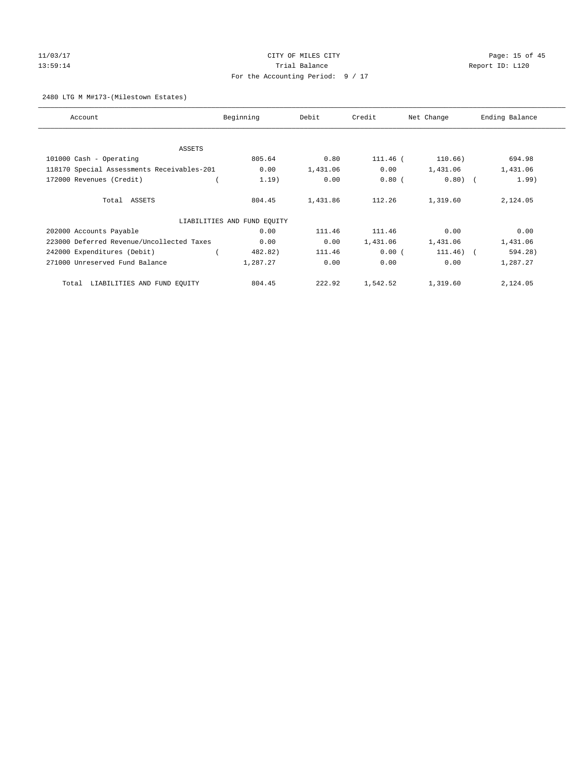## 11/03/17 Page: 15 of 45 13:59:14 **Trial Balance Trial Balance Report ID:** L120 For the Accounting Period: 9 / 17

## 2480 LTG M M#173-(Milestown Estates)

| Account                                    | Beginning                   | Debit    | Credit   | Net Change  | Ending Balance |
|--------------------------------------------|-----------------------------|----------|----------|-------------|----------------|
|                                            |                             |          |          |             |                |
| ASSETS                                     |                             |          |          |             |                |
| 101000 Cash - Operating                    | 805.64                      | 0.80     | 111.46 ( | 110.66)     | 694.98         |
| 118170 Special Assessments Receivables-201 | 0.00                        | 1,431.06 | 0.00     | 1,431.06    | 1,431.06       |
| 172000 Revenues (Credit)                   | 1.19)                       | 0.00     | $0.80$ ( | $0.80)$ (   | 1.99)          |
| Total ASSETS                               | 804.45                      | 1,431.86 | 112.26   | 1,319.60    | 2,124.05       |
|                                            | LIABILITIES AND FUND EQUITY |          |          |             |                |
| 202000 Accounts Payable                    | 0.00                        | 111.46   | 111.46   | 0.00        | 0.00           |
| 223000 Deferred Revenue/Uncollected Taxes  | 0.00                        | 0.00     | 1,431.06 | 1,431.06    | 1,431.06       |
| 242000 Expenditures (Debit)                | 482.82)                     | 111.46   | 0.00(    | $111.46)$ ( | 594.28)        |
| 271000 Unreserved Fund Balance             | 1,287.27                    | 0.00     | 0.00     | 0.00        | 1,287.27       |
| LIABILITIES AND FUND EQUITY<br>Total       | 804.45                      | 222.92   | 1,542.52 | 1,319.60    | 2,124.05       |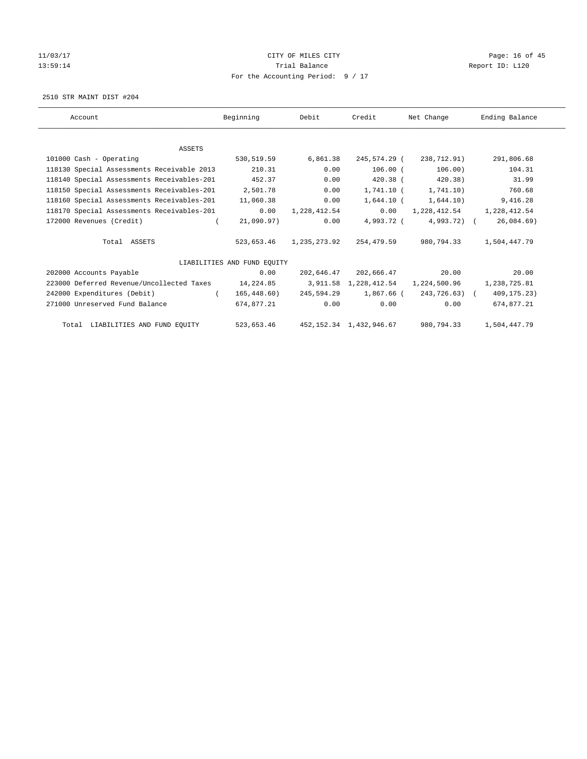# 11/03/17 Page: 16 of 45 13:59:14 Channel Trial Balance Trial Balance Report ID: L120 For the Accounting Period: 9 / 17

2510 STR MAINT DIST #204

| Account                                             | Beginning                   | Debit        | Credit                     | Net Change                         | Ending Balance |
|-----------------------------------------------------|-----------------------------|--------------|----------------------------|------------------------------------|----------------|
|                                                     |                             |              |                            |                                    |                |
| <b>ASSETS</b>                                       |                             |              |                            |                                    |                |
| 101000 Cash - Operating                             | 530,519.59                  | 6,861.38     | 245,574.29 (               | 238,712.91)                        | 291,806.68     |
| 118130 Special Assessments Receivable 2013          | 210.31                      | 0.00         | $106.00$ (                 | 106.00)                            | 104.31         |
| 118140 Special Assessments Receivables-201          | 452.37                      | 0.00         | 420.38 (                   | 420.38)                            | 31.99          |
| 118150 Special Assessments Receivables-201          | 2,501.78                    | 0.00         | 1,741.10 (                 | 1,741.10)                          | 760.68         |
| 118160 Special Assessments Receivables-201          | 11,060.38                   | 0.00         | $1,644.10$ (               | 1,644.10)                          | 9,416.28       |
| 118170 Special Assessments Receivables-201          | 0.00                        | 1,228,412.54 | 0.00                       | 1,228,412.54                       | 1,228,412.54   |
| 172000 Revenues (Credit)                            | 21,090.97)                  | 0.00         | 4,993.72 (                 | $4,993.72$ (                       | 26,084.69      |
| Total ASSETS                                        | 523,653.46                  | 1,235,273.92 | 254,479.59                 | 980,794.33                         | 1,504,447.79   |
|                                                     | LIABILITIES AND FUND EQUITY |              |                            |                                    |                |
| 202000 Accounts Payable                             | 0.00                        |              | 202,646.47 202,666.47      | 20.00                              | 20.00          |
| 223000 Deferred Revenue/Uncollected Taxes 14,224.85 |                             |              |                            | 3,911.58 1,228,412.54 1,224,500.96 | 1,238,725.81   |
| 242000 Expenditures (Debit)                         | 165,448.60)                 | 245,594.29   | 1,867.66 (                 | 243,726.63) (                      | 409, 175. 23)  |
| 271000 Unreserved Fund Balance                      | 674,877.21                  | 0.00         | 0.00                       | 0.00                               | 674,877.21     |
| Total LIABILITIES AND FUND EQUITY                   | 523,653.46                  |              | 452, 152.34 1, 432, 946.67 | 980,794.33                         | 1,504,447.79   |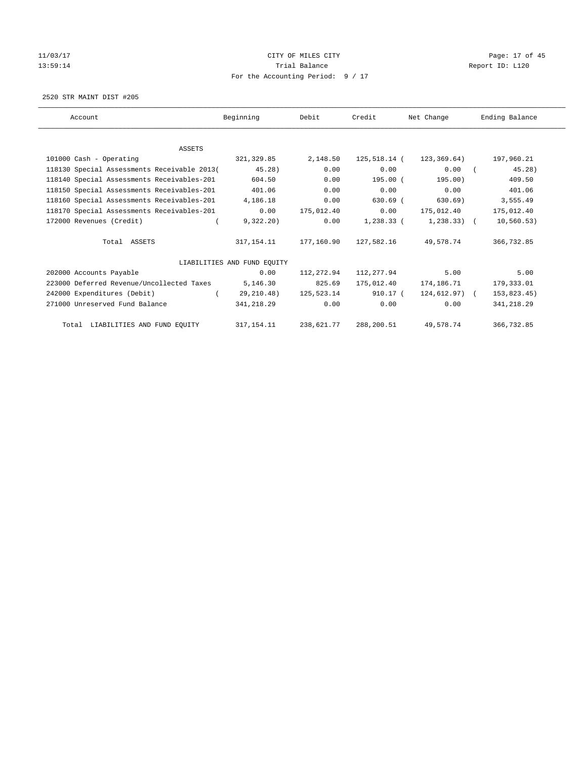# 11/03/17 Page: 17 of 45 13:59:14 Channel Trial Balance Report ID: L120 For the Accounting Period: 9 / 17

2520 STR MAINT DIST #205

| Account                                     | Beginning                   | Debit                     | Credit       | Net Change           | Ending Balance |
|---------------------------------------------|-----------------------------|---------------------------|--------------|----------------------|----------------|
|                                             |                             |                           |              |                      |                |
| <b>ASSETS</b>                               |                             |                           |              |                      |                |
| 101000 Cash - Operating                     | 321,329.85                  | 2,148.50                  | 125,518.14 ( | 123,369.64)          | 197,960.21     |
| 118130 Special Assessments Receivable 2013( | 45.28)                      | 0.00                      | 0.00         | 0.00                 | 45.28)         |
| 118140 Special Assessments Receivables-201  | 604.50                      | 0.00                      | 195.00 (     | 195.00)              | 409.50         |
| 118150 Special Assessments Receivables-201  | 401.06                      | 0.00                      | 0.00         | 0.00                 | 401.06         |
| 118160 Special Assessments Receivables-201  | 4,186.18                    | 0.00                      | $630.69$ (   | 630.69)              | 3,555.49       |
| 118170 Special Assessments Receivables-201  | 0.00                        | 175,012.40                | 0.00         | 175,012.40           | 175,012.40     |
| 172000 Revenues (Credit)                    | 9,322.20)                   | 0.00                      | 1,238.33 (   | 1,238.33) (          | 10, 560.53)    |
| Total ASSETS                                |                             | 317, 154, 11 177, 160, 90 |              | 127,582.16 49,578.74 | 366,732.85     |
|                                             | LIABILITIES AND FUND EQUITY |                           |              |                      |                |
| 202000 Accounts Payable                     | 0.00                        | 112, 272.94               | 112,277.94   | 5.00                 | 5.00           |
| 223000 Deferred Revenue/Uncollected Taxes   | 5,146.30                    | 825.69                    | 175,012.40   | 174,186.71           | 179,333.01     |
| 242000 Expenditures (Debit)                 | 29,210.48)                  | 125,523.14                | 910.17 (     | $124,612.97$ (       | 153,823.45)    |
| 271000 Unreserved Fund Balance              | 341,218.29                  | 0.00                      | 0.00         | 0.00                 | 341,218.29     |
| Total LIABILITIES AND FUND EQUITY           | 317, 154. 11                | 238,621.77                | 288,200.51   | 49,578.74            | 366,732.85     |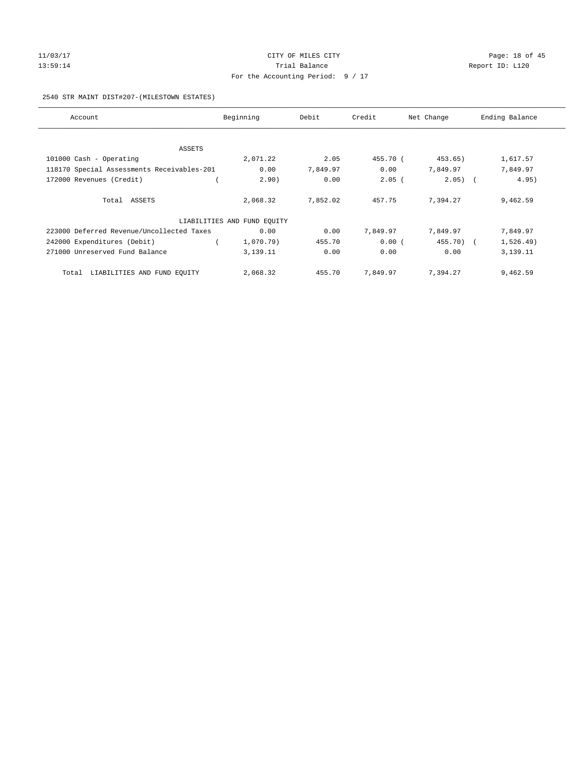# 11/03/17 Page: 18 of 45 13:59:14 Channel Trial Balance Report ID: L120 For the Accounting Period: 9 / 17

## 2540 STR MAINT DIST#207-(MILESTOWN ESTATES)

| Account                                    | Beginning                   | Debit    | Credit   | Net Change | Ending Balance |
|--------------------------------------------|-----------------------------|----------|----------|------------|----------------|
|                                            |                             |          |          |            |                |
| ASSETS                                     |                             |          |          |            |                |
| 101000 Cash - Operating                    | 2,071.22                    | 2.05     | 455.70 ( | 453.65)    | 1,617.57       |
| 118170 Special Assessments Receivables-201 | 0.00                        | 7,849.97 | 0.00     | 7,849.97   | 7,849.97       |
| 172000 Revenues (Credit)                   | 2.90)                       | 0.00     | $2.05$ ( | $2.05)$ (  | 4.95)          |
|                                            |                             |          |          |            |                |
| Total ASSETS                               | 2,068.32                    | 7,852.02 | 457.75   | 7,394.27   | 9,462.59       |
|                                            | LIABILITIES AND FUND EQUITY |          |          |            |                |
| 223000 Deferred Revenue/Uncollected Taxes  | 0.00                        | 0.00     | 7,849.97 | 7,849.97   | 7,849.97       |
| 242000 Expenditures (Debit)                | 1,070.79)                   | 455.70   | 0.00(    | 455.70) (  | 1,526.49)      |
| 271000 Unreserved Fund Balance             | 3,139.11                    | 0.00     | 0.00     | 0.00       | 3,139.11       |
| LIABILITIES AND FUND EQUITY<br>Total       | 2,068.32                    | 455.70   | 7,849.97 | 7,394.27   | 9,462.59       |
|                                            |                             |          |          |            |                |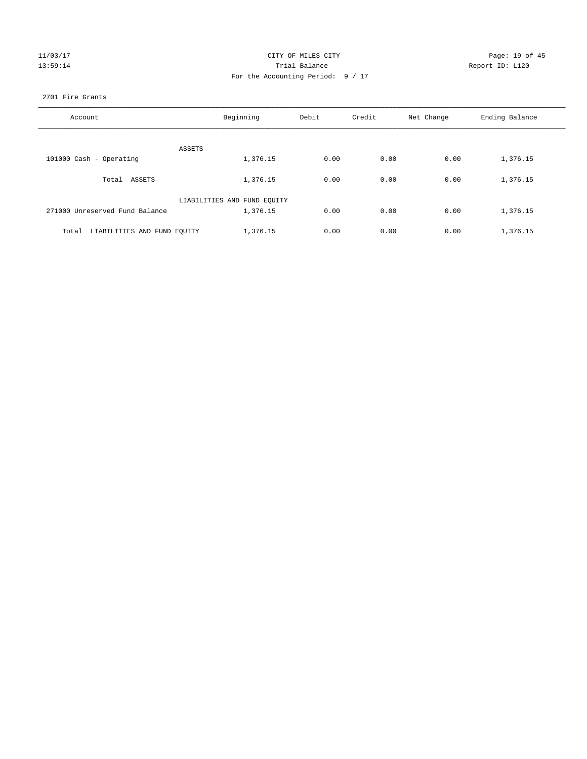| 0371<br>117 |  |
|-------------|--|
| 9<br>(÷5)   |  |

## CITY OF MILES CITY Page: 19 of 45<br>
Trial Balance Report ID: L120 13:59:14 Trial Balance Report ID: L120 For the Accounting Period: 9 / 17

## 2701 Fire Grants

| Account                              | Beginning                   | Debit | Credit | Net Change | Ending Balance |
|--------------------------------------|-----------------------------|-------|--------|------------|----------------|
|                                      |                             |       |        |            |                |
| ASSETS                               |                             |       |        |            |                |
| 101000 Cash - Operating              | 1,376.15                    | 0.00  | 0.00   | 0.00       | 1,376.15       |
| Total ASSETS                         | 1,376.15                    | 0.00  | 0.00   | 0.00       | 1,376.15       |
|                                      | LIABILITIES AND FUND EQUITY |       |        |            |                |
| 271000 Unreserved Fund Balance       | 1,376.15                    | 0.00  | 0.00   | 0.00       | 1,376.15       |
| LIABILITIES AND FUND EQUITY<br>Total | 1,376.15                    | 0.00  | 0.00   | 0.00       | 1,376.15       |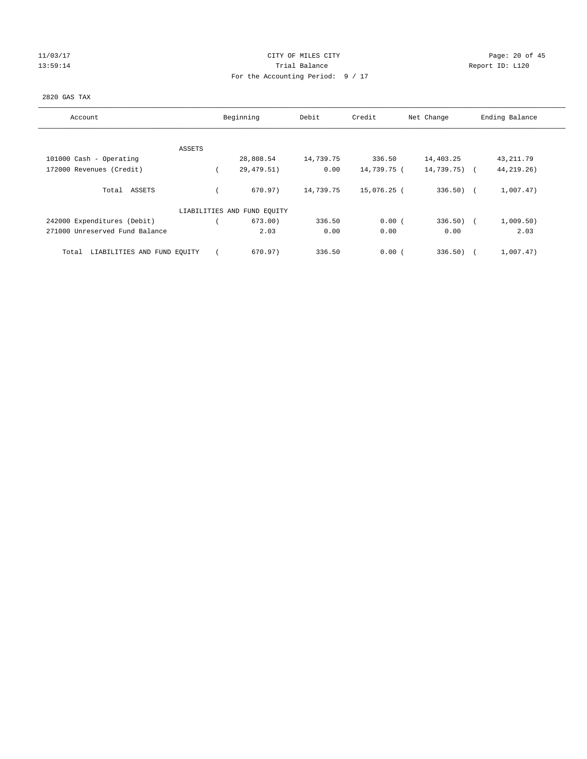## 11/03/17 Page: 20 of 45 13:59:14 **Trial Balance Trial Balance Report ID:** L120 For the Accounting Period: 9 / 17

## 2820 GAS TAX

| Account                              | Beginning                   | Debit     | Credit      | Net Change   | Ending Balance |
|--------------------------------------|-----------------------------|-----------|-------------|--------------|----------------|
|                                      |                             |           |             |              |                |
| ASSETS<br>101000 Cash - Operating    | 28,808.54                   | 14,739.75 | 336.50      | 14,403.25    | 43, 211.79     |
| 172000 Revenues (Credit)             | 29,479.51)                  | 0.00      | 14,739.75 ( | 14,739.75) ( | 44, 219. 26)   |
| Total ASSETS                         | 670.97)                     | 14,739.75 | 15,076.25 ( | $336.50$ (   | 1,007.47)      |
|                                      | LIABILITIES AND FUND EQUITY |           |             |              |                |
| 242000 Expenditures (Debit)          | 673.00)                     | 336.50    | 0.00(       | $336.50)$ (  | 1,009.50)      |
| 271000 Unreserved Fund Balance       | 2.03                        | 0.00      | 0.00        | 0.00         | 2.03           |
| LIABILITIES AND FUND EQUITY<br>Total | 670.97)                     | 336.50    | 0.00(       | 336.50       | 1,007.47)      |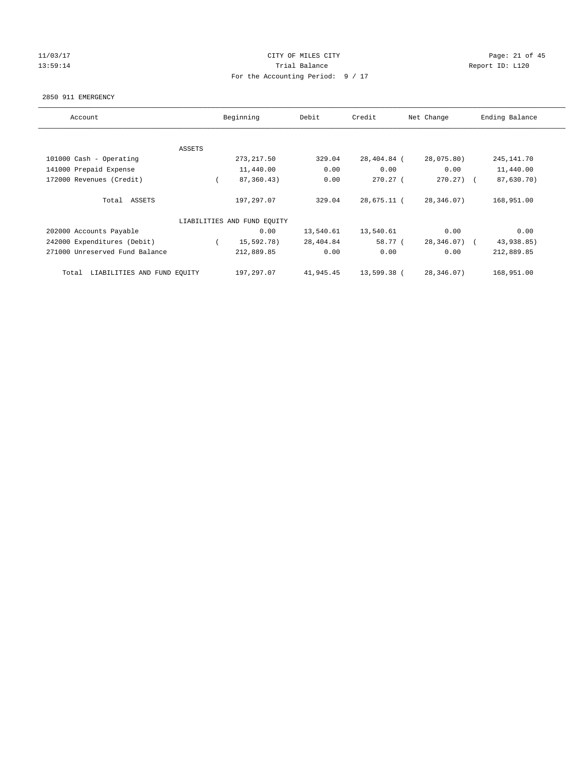## 11/03/17 Page: 21 of 45 13:59:14 **Trial Balance Trial Balance Report ID:** L120 For the Accounting Period: 9 / 17

#### 2850 911 EMERGENCY

| Account                              | Beginning                   | Debit     | Credit      | Net Change   | Ending Balance |
|--------------------------------------|-----------------------------|-----------|-------------|--------------|----------------|
|                                      |                             |           |             |              |                |
| ASSETS                               |                             |           |             |              |                |
| 101000 Cash - Operating              | 273, 217.50                 | 329.04    | 28,404.84 ( | 28,075.80)   | 245, 141.70    |
| 141000 Prepaid Expense               | 11,440.00                   | 0.00      | 0.00        | 0.00         | 11,440.00      |
| 172000 Revenues (Credit)             | 87,360.43)                  | 0.00      | $270.27$ (  | $270.27$ ) ( | 87,630.70)     |
|                                      |                             |           |             |              |                |
| Total ASSETS                         | 197,297.07                  | 329.04    | 28,675.11 ( | 28,346.07)   | 168,951.00     |
|                                      |                             |           |             |              |                |
|                                      | LIABILITIES AND FUND EQUITY |           |             |              |                |
| 202000 Accounts Payable              | 0.00                        | 13,540.61 | 13,540.61   | 0.00         | 0.00           |
| 242000 Expenditures (Debit)          | 15,592.78)                  | 28,404.84 | 58.77 (     | 28,346.07) ( | 43,938.85)     |
| 271000 Unreserved Fund Balance       | 212,889.85                  | 0.00      | 0.00        | 0.00         | 212,889.85     |
|                                      |                             |           |             |              |                |
| LIABILITIES AND FUND EQUITY<br>Total | 197,297.07                  | 41,945.45 | 13,599.38 ( | 28,346.07)   | 168,951.00     |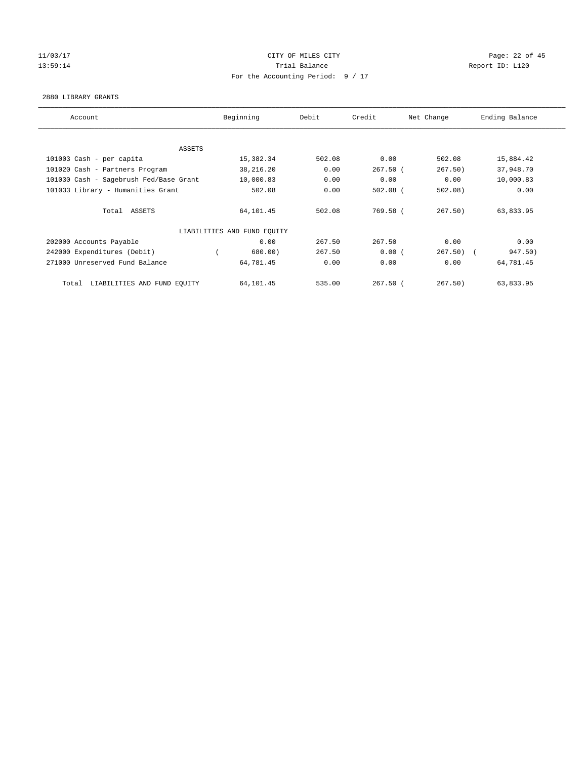## 11/03/17 Page: 22 of 45 13:59:14 **Trial Balance Trial Balance Report ID:** L120 For the Accounting Period: 9 / 17

#### 2880 LIBRARY GRANTS

| Account                                | Beginning                   | Debit  | Credit     | Net Change | Ending Balance |
|----------------------------------------|-----------------------------|--------|------------|------------|----------------|
|                                        |                             |        |            |            |                |
| ASSETS                                 |                             |        |            |            |                |
| 101003 Cash - per capita               | 15,382.34                   | 502.08 | 0.00       | 502.08     | 15,884.42      |
| 101020 Cash - Partners Program         | 38,216.20                   | 0.00   | $267.50$ ( | 267.50)    | 37,948.70      |
| 101030 Cash - Sagebrush Fed/Base Grant | 10,000.83                   | 0.00   | 0.00       | 0.00       | 10,000.83      |
| 101033 Library - Humanities Grant      | 502.08                      | 0.00   | $502.08$ ( | $502.08$ ) | 0.00           |
| Total ASSETS                           | 64,101.45                   | 502.08 | 769.58 (   | 267.50)    | 63,833.95      |
|                                        | LIABILITIES AND FUND EQUITY |        |            |            |                |
| 202000 Accounts Payable                | 0.00                        | 267.50 | 267.50     | 0.00       | 0.00           |
| 242000 Expenditures (Debit)            | 680.00)                     | 267.50 | 0.00(      | $267.50$ ( | 947.50)        |
| 271000 Unreserved Fund Balance         | 64,781.45                   | 0.00   | 0.00       | 0.00       | 64,781.45      |
| LIABILITIES AND FUND EQUITY<br>Total   | 64,101.45                   | 535.00 | $267.50$ ( | 267.50     | 63,833.95      |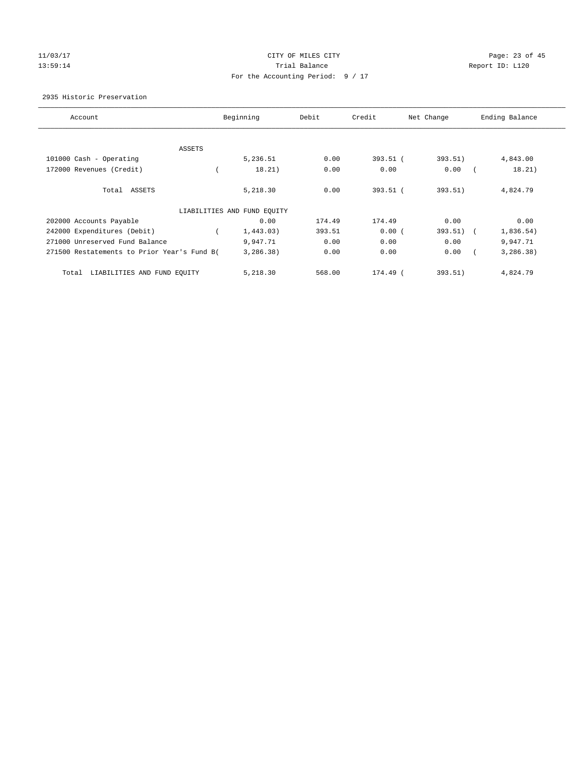## 11/03/17 Page: 23 of 45 13:59:14 **Trial Balance Trial Balance Report ID:** L120 For the Accounting Period: 9 / 17

## 2935 Historic Preservation

| Account                                     | Beginning                   | Debit  | Credit     | Net Change | Ending Balance          |
|---------------------------------------------|-----------------------------|--------|------------|------------|-------------------------|
|                                             |                             |        |            |            |                         |
| ASSETS                                      |                             |        |            |            |                         |
| 101000 Cash - Operating                     | 5,236.51                    | 0.00   | $393.51$ ( | 393.51)    | 4,843.00                |
| 172000 Revenues (Credit)                    | 18.21)                      | 0.00   | 0.00       | 0.00       | 18.21)                  |
| Total ASSETS                                | 5,218.30                    | 0.00   | 393.51 (   | 393.51)    | 4,824.79                |
|                                             | LIABILITIES AND FUND EQUITY |        |            |            |                         |
| 202000 Accounts Payable                     | 0.00                        | 174.49 | 174.49     | 0.00       | 0.00                    |
| 242000 Expenditures (Debit)                 | 1,443.03)                   | 393.51 | 0.00(      | 393.51)    | 1,836.54)<br>$\sqrt{2}$ |
| 271000 Unreserved Fund Balance              | 9,947.71                    | 0.00   | 0.00       | 0.00       | 9,947.71                |
| 271500 Restatements to Prior Year's Fund B( | 3,286.38)                   | 0.00   | 0.00       | 0.00       | 3, 286.38)              |
| LIABILITIES AND FUND EQUITY<br>Total        | 5,218.30                    | 568.00 | 174.49 (   | 393.51)    | 4,824.79                |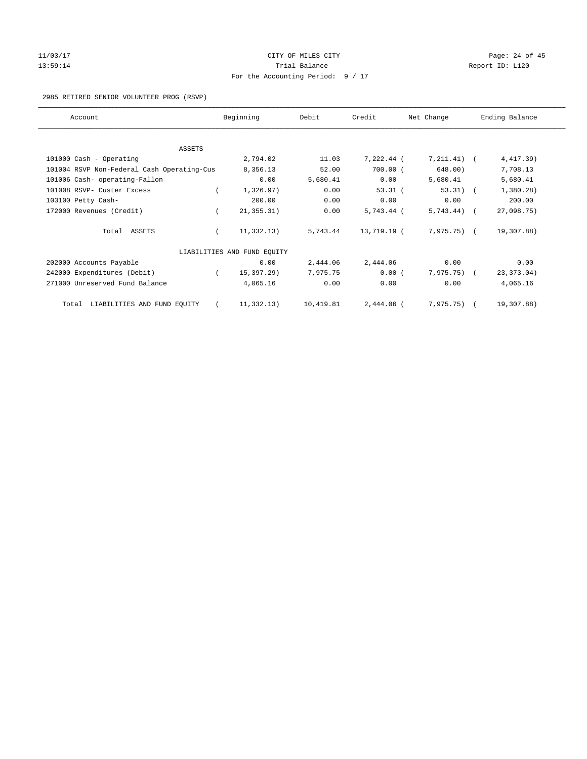# 11/03/17 Page: 24 of 45 13:59:14 **Trial Balance Trial Balance Report ID:** L120 For the Accounting Period: 9 / 17

## 2985 RETIRED SENIOR VOLUNTEER PROG (RSVP)

| Account                                    |          | Beginning                   | Debit     | Credit      | Net Change    | Ending Balance |
|--------------------------------------------|----------|-----------------------------|-----------|-------------|---------------|----------------|
| ASSETS                                     |          |                             |           |             |               |                |
| 101000 Cash - Operating                    |          | 2,794.02                    | 11.03     | 7,222.44 (  | $7,211.41$ (  | 4,417.39)      |
| 101004 RSVP Non-Federal Cash Operating-Cus |          | 8,356.13                    | 52.00     | $700.00$ (  | 648.00)       | 7,708.13       |
| 101006 Cash- operating-Fallon              |          | 0.00                        | 5,680.41  | 0.00        | 5,680.41      | 5,680.41       |
| 101008 RSVP- Custer Excess                 |          | 1,326.97)                   | 0.00      | $53.31$ (   | $53.31)$ (    | 1,380.28)      |
| 103100 Petty Cash-                         |          | 200.00                      | 0.00      | 0.00        | 0.00          | 200.00         |
| 172000 Revenues (Credit)                   |          | 21, 355.31)                 | 0.00      | 5,743.44 (  | $5,743.44$ (  | 27,098.75)     |
| Total ASSETS                               |          | 11,332.13)                  | 5,743.44  | 13,719.19 ( | 7,975.75) (   | 19,307.88)     |
|                                            |          | LIABILITIES AND FUND EQUITY |           |             |               |                |
| 202000 Accounts Payable                    |          | 0.00                        | 2,444.06  | 2,444.06    | 0.00          | 0.00           |
| 242000 Expenditures (Debit)                | $\left($ | 15,397.29)                  | 7,975.75  | 0.00(       | $7,975.75)$ ( | 23, 373.04)    |
| 271000 Unreserved Fund Balance             |          | 4,065.16                    | 0.00      | 0.00        | 0.00          | 4,065.16       |
| LIABILITIES AND FUND EQUITY<br>Total       |          | 11,332.13)                  | 10,419.81 | 2,444.06 (  | $7,975.75)$ ( | 19,307.88)     |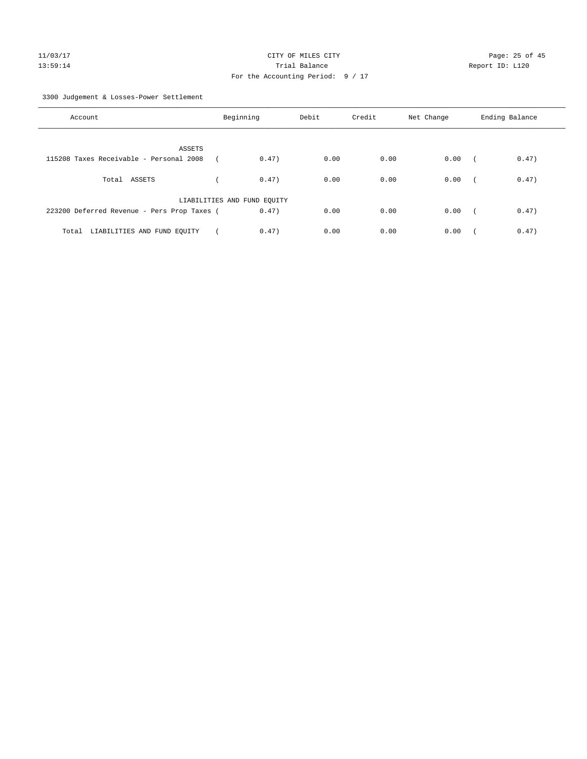3300 Judgement & Losses-Power Settlement

| Account                                     | Beginning                   |       | Debit | Credit | Net Change | Ending Balance |       |
|---------------------------------------------|-----------------------------|-------|-------|--------|------------|----------------|-------|
| ASSETS                                      |                             |       |       |        |            |                |       |
| 115208 Taxes Receivable - Personal 2008     |                             | 0.47) | 0.00  | 0.00   | 0.00       |                | 0.47) |
| Total ASSETS                                |                             | 0.47) | 0.00  | 0.00   | 0.00       | $\sqrt{2}$     | 0.47) |
|                                             | LIABILITIES AND FUND EQUITY |       |       |        |            |                |       |
| 223200 Deferred Revenue - Pers Prop Taxes ( |                             | 0.47) | 0.00  | 0.00   | 0.00       | $\sim$         | 0.47) |
| Total LIABILITIES AND FUND EQUITY           |                             | 0.47) | 0.00  | 0.00   | 0.00       |                | 0.47) |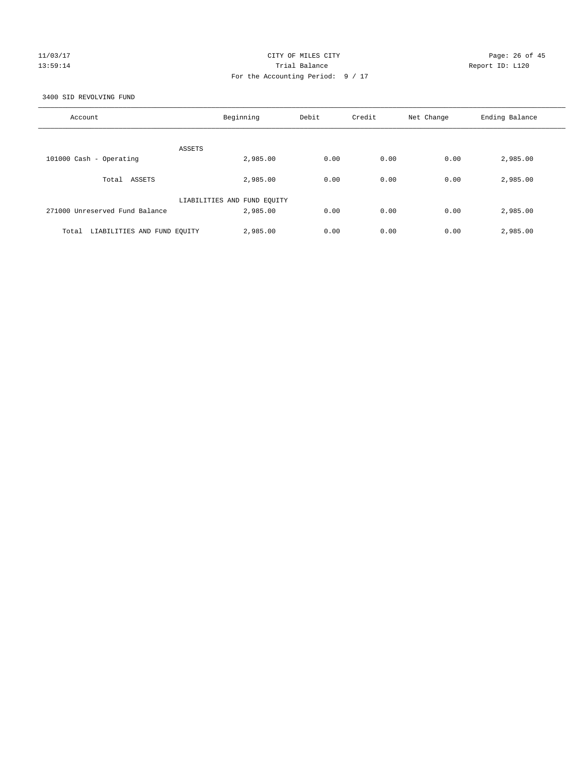## 11/03/17 Page: 26 of 45 13:59:14 **Trial Balance Trial Balance Report ID:** L120 For the Accounting Period: 9 / 17

3400 SID REVOLVING FUND

| Account                              | Beginning                   | Debit | Credit | Net Change | Ending Balance |
|--------------------------------------|-----------------------------|-------|--------|------------|----------------|
| ASSETS                               |                             |       |        |            |                |
| 101000 Cash - Operating              | 2,985.00                    | 0.00  | 0.00   | 0.00       | 2,985.00       |
| ASSETS<br>Total                      | 2,985,00                    | 0.00  | 0.00   | 0.00       | 2,985.00       |
|                                      | LIABILITIES AND FUND EQUITY |       |        |            |                |
| 271000 Unreserved Fund Balance       | 2,985,00                    | 0.00  | 0.00   | 0.00       | 2,985.00       |
| Total<br>LIABILITIES AND FUND EQUITY | 2,985.00                    | 0.00  | 0.00   | 0.00       | 2,985.00       |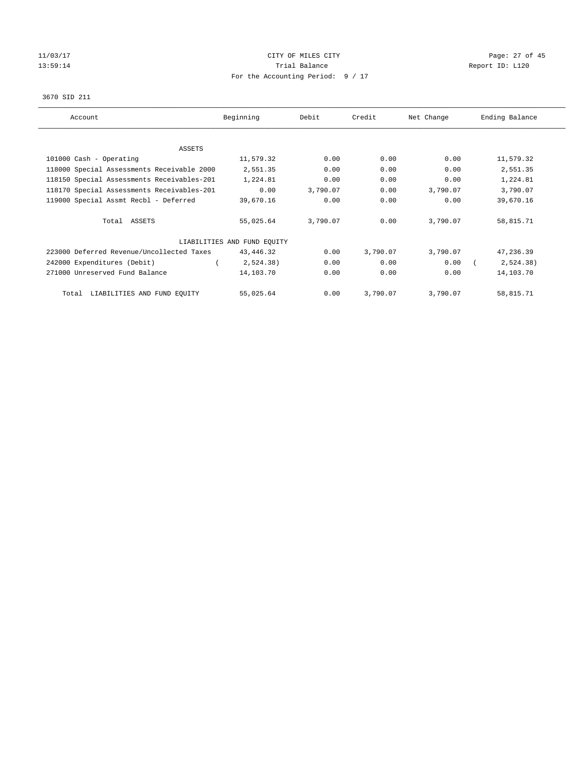# 11/03/17 Page: 27 of 45 13:59:14 **Trial Balance Trial Balance Report ID:** L120 For the Accounting Period: 9 / 17

#### 3670 SID 211

| Account                                    | Beginning                   | Debit    | Credit   | Net Change | Ending Balance |
|--------------------------------------------|-----------------------------|----------|----------|------------|----------------|
|                                            |                             |          |          |            |                |
| ASSETS                                     |                             |          |          |            |                |
| 101000 Cash - Operating                    | 11,579.32                   | 0.00     | 0.00     | 0.00       | 11,579.32      |
| 118000 Special Assessments Receivable 2000 | 2,551.35                    | 0.00     | 0.00     | 0.00       | 2,551.35       |
| 118150 Special Assessments Receivables-201 | 1,224.81                    | 0.00     | 0.00     | 0.00       | 1,224.81       |
| 118170 Special Assessments Receivables-201 | 0.00                        | 3,790.07 | 0.00     | 3,790.07   | 3,790.07       |
| 119000 Special Assmt Recbl - Deferred      | 39,670.16                   | 0.00     | 0.00     | 0.00       | 39,670.16      |
| Total ASSETS                               | 55,025.64                   | 3,790.07 | 0.00     | 3,790.07   | 58,815.71      |
|                                            | LIABILITIES AND FUND EQUITY |          |          |            |                |
| 223000 Deferred Revenue/Uncollected Taxes  | 43,446.32                   | 0.00     | 3,790.07 | 3,790.07   | 47,236.39      |
| 242000 Expenditures (Debit)                | 2,524.38)                   | 0.00     | 0.00     | 0.00       | 2,524.38)      |
| 271000 Unreserved Fund Balance             | 14,103.70                   | 0.00     | 0.00     | 0.00       | 14,103.70      |
| LIABILITIES AND FUND EQUITY<br>Total       | 55,025.64                   | 0.00     | 3,790.07 | 3,790.07   | 58,815.71      |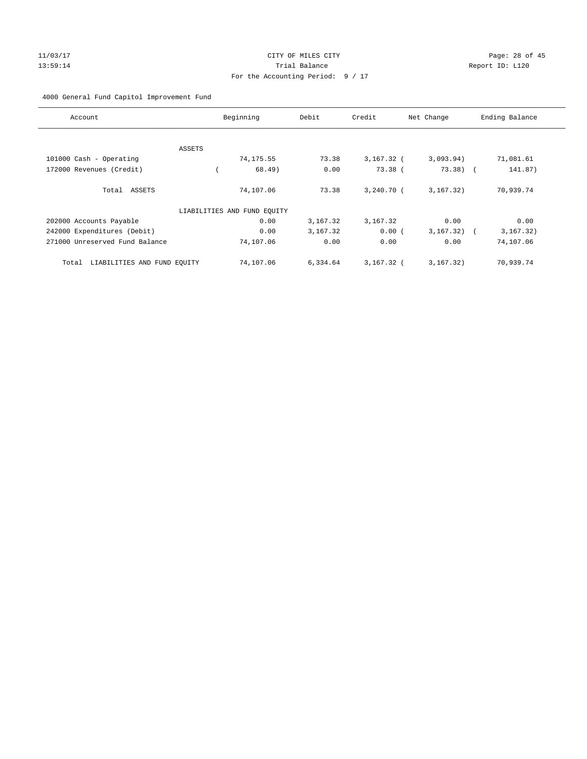# 11/03/17 Page: 28 of 45 13:59:14 **Trial Balance Trial Balance Report ID:** L120 For the Accounting Period: 9 / 17

## 4000 General Fund Capitol Improvement Fund

| Account                              | Beginning                   | Debit    | Credit       | Net Change  | Ending Balance           |
|--------------------------------------|-----------------------------|----------|--------------|-------------|--------------------------|
|                                      |                             |          |              |             |                          |
| ASSETS                               |                             |          |              |             |                          |
| 101000 Cash - Operating              | 74,175.55                   | 73.38    | $3,167.32$ ( | 3,093.94)   | 71,081.61                |
| 172000 Revenues (Credit)             | 68.49)                      | 0.00     | $73.38$ (    | $73.38)$ (  | 141.87)                  |
| Total ASSETS                         | 74,107.06                   | 73.38    | $3.240.70$ ( | 3, 167.32)  | 70,939.74                |
|                                      | LIABILITIES AND FUND EQUITY |          |              |             |                          |
| 202000 Accounts Payable              | 0.00                        | 3,167.32 | 3,167.32     | 0.00        | 0.00                     |
| 242000 Expenditures (Debit)          | 0.00                        | 3,167.32 | 0.00(        | 3, 167, 32) | 3, 167.32)<br>$\sqrt{2}$ |
| 271000 Unreserved Fund Balance       | 74,107.06                   | 0.00     | 0.00         | 0.00        | 74,107.06                |
| LIABILITIES AND FUND EQUITY<br>Total | 74,107.06                   | 6,334.64 | $3,167.32$ ( | 3, 167.32)  | 70,939.74                |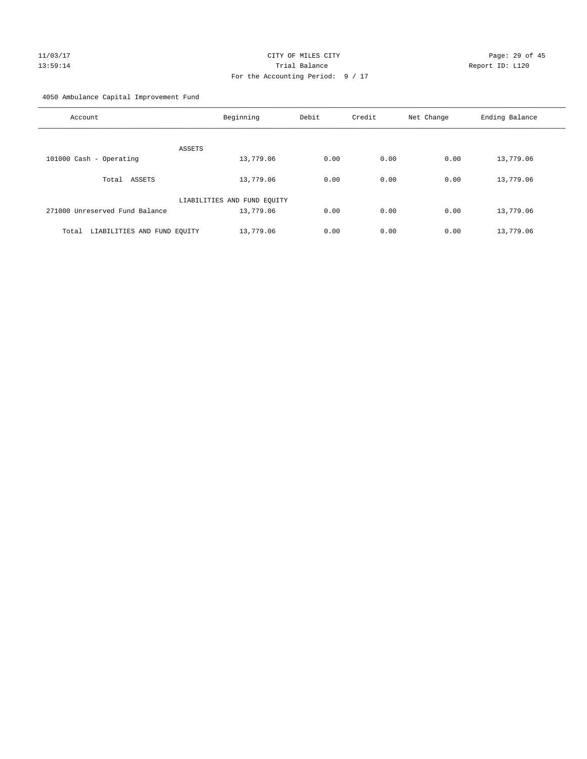# 11/03/17 Page: 29 of 45 13:59:14 Trial Balance Report ID: L120 For the Accounting Period: 9 / 17

4050 Ambulance Capital Improvement Fund

| Account                              | Beginning                   | Debit | Credit | Net Change | Ending Balance |
|--------------------------------------|-----------------------------|-------|--------|------------|----------------|
| ASSETS                               |                             |       |        |            |                |
| 101000 Cash - Operating              | 13,779.06                   | 0.00  | 0.00   | 0.00       | 13,779.06      |
| ASSETS<br>Total                      | 13,779.06                   | 0.00  | 0.00   | 0.00       | 13,779.06      |
|                                      | LIABILITIES AND FUND EQUITY |       |        |            |                |
| 271000 Unreserved Fund Balance       | 13,779.06                   | 0.00  | 0.00   | 0.00       | 13,779.06      |
| LIABILITIES AND FUND EQUITY<br>Total | 13,779.06                   | 0.00  | 0.00   | 0.00       | 13,779.06      |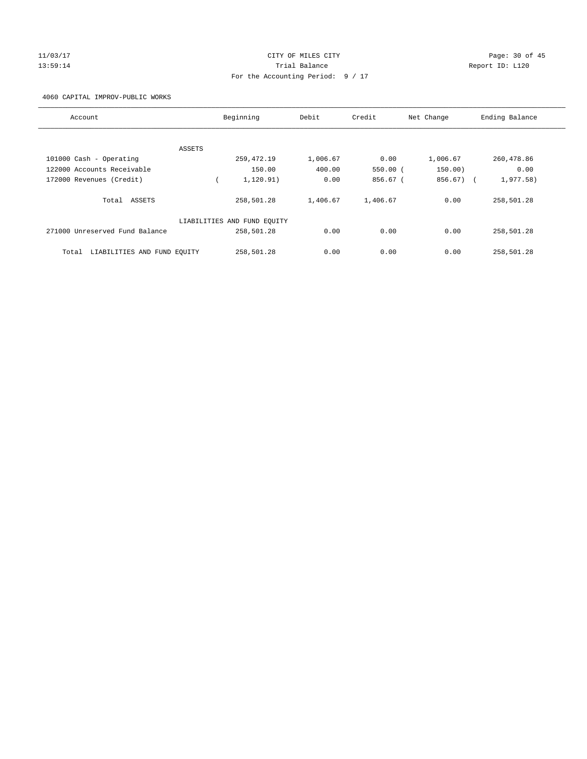# 11/03/17 Page: 30 of 45 13:59:14 **Trial Balance Trial Balance Report ID:** L120 For the Accounting Period: 9 / 17

4060 CAPITAL IMPROV-PUBLIC WORKS

| Account                              | Beginning                   | Debit    | Credit   | Net Change | Ending Balance |
|--------------------------------------|-----------------------------|----------|----------|------------|----------------|
|                                      |                             |          |          |            |                |
| ASSETS                               |                             |          |          |            |                |
| 101000 Cash - Operating              | 259,472.19                  | 1,006.67 | 0.00     | 1,006.67   | 260,478.86     |
| 122000 Accounts Receivable           | 150.00                      | 400.00   | 550.00(  | 150.00)    | 0.00           |
| 172000 Revenues (Credit)             | 1, 120.91)                  | 0.00     | 856.67 ( | 856.67) (  | 1,977.58)      |
| Total ASSETS                         | 258,501.28                  | 1,406.67 | 1,406.67 | 0.00       | 258,501.28     |
|                                      | LIABILITIES AND FUND EQUITY |          |          |            |                |
| 271000 Unreserved Fund Balance       | 258,501.28                  | 0.00     | 0.00     | 0.00       | 258,501.28     |
| LIABILITIES AND FUND EQUITY<br>Total | 258,501.28                  | 0.00     | 0.00     | 0.00       | 258,501.28     |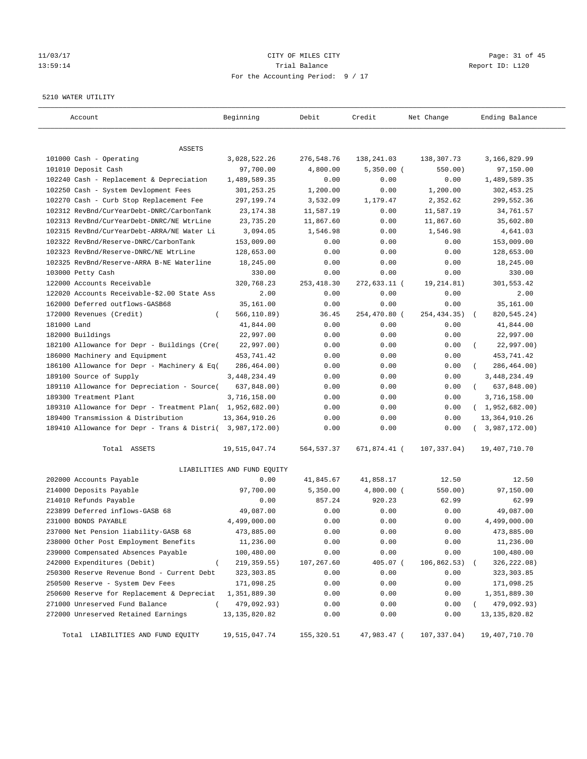## 11/03/17 Page: 31 of 45 13:59:14 Trial Balance Report ID: L120 For the Accounting Period: 9 / 17

#### 5210 WATER UTILITY

| Account                                                   | Beginning                   | Debit       | Credit       | Net Change   | Ending Balance          |
|-----------------------------------------------------------|-----------------------------|-------------|--------------|--------------|-------------------------|
| ASSETS                                                    |                             |             |              |              |                         |
| 101000 Cash - Operating                                   | 3,028,522.26                | 276,548.76  | 138,241.03   | 138,307.73   | 3,166,829.99            |
| 101010 Deposit Cash                                       | 97,700.00                   | 4,800.00    | $5,350.00$ ( | 550.00)      | 97,150.00               |
| 102240 Cash - Replacement & Depreciation                  | 1,489,589.35                | 0.00        | 0.00         | 0.00         | 1,489,589.35            |
| 102250 Cash - System Devlopment Fees                      | 301,253.25                  | 1,200.00    | 0.00         | 1,200.00     | 302,453.25              |
| 102270 Cash - Curb Stop Replacement Fee                   | 297,199.74                  | 3,532.09    | 1,179.47     | 2,352.62     | 299,552.36              |
| 102312 RevBnd/CurYearDebt-DNRC/CarbonTank                 | 23, 174.38                  | 11,587.19   | 0.00         | 11,587.19    | 34,761.57               |
| 102313 RevBnd/CurYearDebt-DNRC/NE WtrLine                 | 23,735.20                   | 11,867.60   | 0.00         | 11,867.60    | 35,602.80               |
| 102315 RevBnd/CurYearDebt-ARRA/NE Water Li                | 3,094.05                    | 1,546.98    | 0.00         | 1,546.98     | 4,641.03                |
| 102322 RevBnd/Reserve-DNRC/CarbonTank                     | 153,009.00                  | 0.00        | 0.00         | 0.00         | 153,009.00              |
| 102323 RevBnd/Reserve-DNRC/NE WtrLine                     | 128,653.00                  | 0.00        | 0.00         | 0.00         | 128,653.00              |
| 102325 RevBnd/Reserve-ARRA B-NE Waterline                 | 18,245.00                   | 0.00        | 0.00         | 0.00         | 18,245.00               |
| 103000 Petty Cash                                         | 330.00                      | 0.00        | 0.00         | 0.00         | 330.00                  |
| 122000 Accounts Receivable                                | 320,768.23                  | 253, 418.30 | 272,633.11 ( | 19, 214.81)  | 301,553.42              |
| 122020 Accounts Receivable-\$2.00 State Ass               | 2.00                        | 0.00        | 0.00         | 0.00         | 2.00                    |
| 162000 Deferred outflows-GASB68                           | 35,161.00                   | 0.00        | 0.00         | 0.00         | 35,161.00               |
| 172000 Revenues (Credit)<br>$\left($                      | 566, 110.89)                | 36.45       | 254,470.80 ( | 254, 434.35) | 820, 545.24)            |
| 181000 Land                                               | 41,844.00                   | 0.00        | 0.00         | 0.00         | 41,844.00               |
| 182000 Buildings                                          | 22,997.00                   | 0.00        | 0.00         | 0.00         | 22,997.00               |
| 182100 Allowance for Depr - Buildings (Cre(               | 22,997.00)                  | 0.00        | 0.00         | 0.00         | 22,997.00)              |
| 186000 Machinery and Equipment                            | 453,741.42                  | 0.00        | 0.00         | 0.00         | 453,741.42              |
| 186100 Allowance for Depr - Machinery & Eq(               | 286,464.00)                 | 0.00        | 0.00         | 0.00         | 286,464.00)             |
| 189100 Source of Supply                                   | 3, 448, 234.49              | 0.00        | 0.00         | 0.00         | 3,448,234.49            |
| 189110 Allowance for Depreciation - Source(               | 637,848.00)                 | 0.00        | 0.00         | 0.00         | 637,848.00)<br>$\left($ |
| 189300 Treatment Plant                                    | 3,716,158.00                | 0.00        | 0.00         | 0.00         | 3,716,158.00            |
| 189310 Allowance for Depr - Treatment Plan( 1,952,682.00) |                             | 0.00        | 0.00         | 0.00         | (1,952,682.00)          |
| 189400 Transmission & Distribution                        | 13, 364, 910.26             | 0.00        | 0.00         | 0.00         | 13, 364, 910.26         |
| 189410 Allowance for Depr - Trans & Distri( 3,987,172.00) |                             | 0.00        | 0.00         | 0.00         | (3,987,172.00)          |
| Total ASSETS                                              | 19,515,047.74               | 564, 537.37 | 671,874.41 ( | 107,337.04)  | 19,407,710.70           |
|                                                           | LIABILITIES AND FUND EQUITY |             |              |              |                         |
| 202000 Accounts Payable                                   | 0.00                        | 41,845.67   | 41,858.17    | 12.50        | 12.50                   |
| 214000 Deposits Payable                                   | 97,700.00                   | 5,350.00    | $4,800.00$ ( | 550.00)      | 97,150.00               |
| 214010 Refunds Payable                                    | 0.00                        | 857.24      | 920.23       | 62.99        | 62.99                   |
| 223899 Deferred inflows-GASB 68                           | 49,087.00                   | 0.00        | 0.00         | 0.00         | 49,087.00               |
| 231000 BONDS PAYABLE                                      | 4,499,000.00                | 0.00        | 0.00         | 0.00         | 4,499,000.00            |
| 237000 Net Pension liability-GASB 68                      | 473,885.00                  | 0.00        | 0.00         | 0.00         | 473,885.00              |
| 238000 Other Post Employment Benefits                     | 11,236.00                   | 0.00        | 0.00         | 0.00         | 11,236.00               |
| 239000 Compensated Absences Payable                       | 100,480.00                  | 0.00        | 0.00         | 0.00         | 100,480.00              |
| 242000 Expenditures (Debit)<br>$\overline{ }$             | 219, 359.55)                | 107,267.60  | 405.07 (     | 106,862.53)  | 326,222.08)             |
| 250300 Reserve Revenue Bond - Current Debt                | 323, 303.85                 | 0.00        | 0.00         | 0.00         | 323, 303.85             |
| 250500 Reserve - System Dev Fees                          | 171,098.25                  | 0.00        | 0.00         | 0.00         | 171,098.25              |
| 250600 Reserve for Replacement & Depreciat                | 1,351,889.30                | 0.00        | 0.00         | 0.00         | 1,351,889.30            |
| 271000 Unreserved Fund Balance<br>$\left($                | 479,092.93)                 | 0.00        | 0.00         | 0.00         | 479,092.93)             |
| 272000 Unreserved Retained Earnings                       | 13, 135, 820.82             | 0.00        | 0.00         | 0.00         | 13, 135, 820.82         |
| Total LIABILITIES AND FUND EQUITY                         | 19,515,047.74               | 155, 320.51 | 47,983.47 (  | 107,337.04)  | 19,407,710.70           |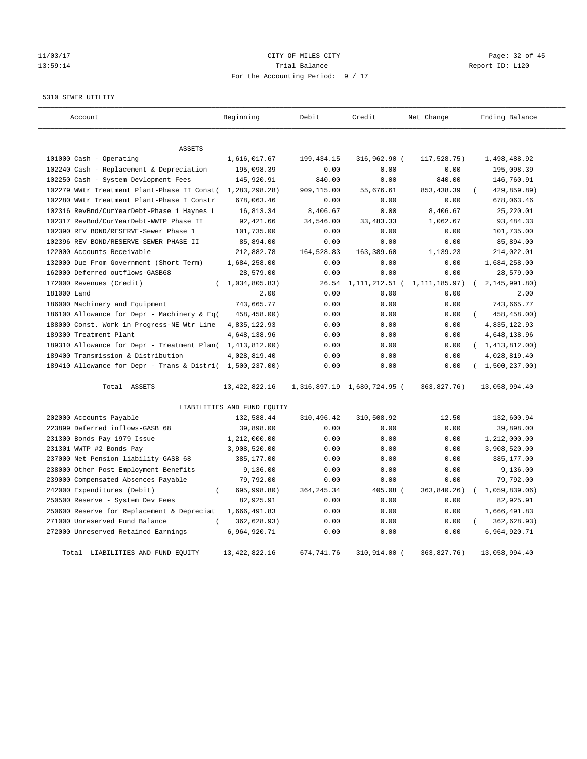# 11/03/17 Page: 32 of 45 13:59:14 Channel Trial Balance Report ID: L120 For the Accounting Period: 9 / 17

5310 SEWER UTILITY

| Account                                                   | Beginning                   | Debit        | Credit                      | Net Change      | Ending Balance          |
|-----------------------------------------------------------|-----------------------------|--------------|-----------------------------|-----------------|-------------------------|
| <b>ASSETS</b>                                             |                             |              |                             |                 |                         |
| 101000 Cash - Operating                                   | 1,616,017.67                | 199, 434. 15 | 316,962.90 (                | 117,528.75)     | 1,498,488.92            |
| 102240 Cash - Replacement & Depreciation                  | 195,098.39                  | 0.00         | 0.00                        | 0.00            | 195,098.39              |
| 102250 Cash - System Devlopment Fees                      | 145,920.91                  | 840.00       | 0.00                        | 840.00          | 146,760.91              |
| 102279 WWtr Treatment Plant-Phase II Const(               | 1,283,298.28)               | 909,115.00   | 55,676.61                   | 853, 438.39     | 429,859.89)             |
| 102280 WWtr Treatment Plant-Phase I Constr                | 678,063.46                  | 0.00         | 0.00                        | 0.00            | 678,063.46              |
| 102316 RevBnd/CurYearDebt-Phase 1 Haynes L                | 16,813.34                   | 8,406.67     | 0.00                        | 8,406.67        | 25,220.01               |
| 102317 RevBnd/CurYearDebt-WWTP Phase II                   | 92, 421.66                  | 34,546.00    | 33, 483. 33                 | 1,062.67        | 93, 484.33              |
| 102390 REV BOND/RESERVE-Sewer Phase 1                     | 101,735.00                  | 0.00         | 0.00                        | 0.00            | 101,735.00              |
| 102396 REV BOND/RESERVE-SEWER PHASE II                    | 85,894.00                   | 0.00         | 0.00                        | 0.00            | 85,894.00               |
| 122000 Accounts Receivable                                | 212,882.78                  | 164,528.83   | 163,389.60                  | 1,139.23        | 214,022.01              |
| 132000 Due From Government (Short Term)                   | 1,684,258.00                | 0.00         | 0.00                        | 0.00            | 1,684,258.00            |
| 162000 Deferred outflows-GASB68                           | 28,579.00                   | 0.00         | 0.00                        | 0.00            | 28,579.00               |
| 172000 Revenues (Credit)                                  | 1,034,805.83)               | 26.54        | 1,111,212.51 (              | 1, 111, 185.97) | 2, 145, 991.80          |
| 181000 Land                                               | 2.00                        | 0.00         | 0.00                        | 0.00            | 2.00                    |
| 186000 Machinery and Equipment                            | 743,665.77                  | 0.00         | 0.00                        | 0.00            | 743,665.77              |
| 186100 Allowance for Depr - Machinery & Eq(               | 458,458.00)                 | 0.00         | 0.00                        | 0.00            | 458, 458.00)            |
| 188000 Const. Work in Progress-NE Wtr Line                | 4,835,122.93                | 0.00         | 0.00                        | 0.00            | 4,835,122.93            |
| 189300 Treatment Plant                                    | 4,648,138.96                | 0.00         | 0.00                        | 0.00            | 4,648,138.96            |
| 189310 Allowance for Depr - Treatment Plan(               | 1,413,812.00)               | 0.00         | 0.00                        | 0.00            | (1, 413, 812.00)        |
| 189400 Transmission & Distribution                        | 4,028,819.40                | 0.00         | 0.00                        | 0.00            | 4,028,819.40            |
| 189410 Allowance for Depr - Trans & Distri( 1,500,237.00) |                             | 0.00         | 0.00                        | 0.00            | (1,500,237.00)          |
| Total ASSETS                                              | 13, 422, 822. 16            |              | 1,316,897.19 1,680,724.95 ( | 363,827.76)     | 13,058,994.40           |
|                                                           | LIABILITIES AND FUND EQUITY |              |                             |                 |                         |
| 202000 Accounts Payable                                   | 132,588.44                  | 310,496.42   | 310,508.92                  | 12.50           | 132,600.94              |
| 223899 Deferred inflows-GASB 68                           | 39,898.00                   | 0.00         | 0.00                        | 0.00            | 39,898.00               |
| 231300 Bonds Pay 1979 Issue                               | 1,212,000.00                | 0.00         | 0.00                        | 0.00            | 1,212,000.00            |
| 231301 WWTP #2 Bonds Pay                                  | 3,908,520.00                | 0.00         | 0.00                        | 0.00            | 3,908,520.00            |
| 237000 Net Pension liability-GASB 68                      | 385,177.00                  | 0.00         | 0.00                        | 0.00            | 385,177.00              |
| 238000 Other Post Employment Benefits                     | 9,136.00                    | 0.00         | 0.00                        | 0.00            | 9,136.00                |
| 239000 Compensated Absences Payable                       | 79,792.00                   | 0.00         | 0.00                        | 0.00            | 79,792.00               |
| 242000 Expenditures (Debit)<br>$\left($                   | 695,998.80)                 | 364, 245. 34 | 405.08 (                    | 363,840.26)     | 1,059,839.06)           |
| 250500 Reserve - System Dev Fees                          | 82,925.91                   | 0.00         | 0.00                        | 0.00            | 82,925.91               |
| 250600 Reserve for Replacement & Depreciat                | 1,666,491.83                | 0.00         | 0.00                        | 0.00            | 1,666,491.83            |
| 271000 Unreserved Fund Balance<br>$\left($                | 362,628.93)                 | 0.00         | 0.00                        | 0.00            | $\left($<br>362,628.93) |
| 272000 Unreserved Retained Earnings                       | 6,964,920.71                | 0.00         | 0.00                        | 0.00            | 6,964,920.71            |
| Total LIABILITIES AND FUND EQUITY                         | 13, 422, 822. 16            | 674,741.76   | 310,914.00 (                | 363,827.76)     | 13,058,994.40           |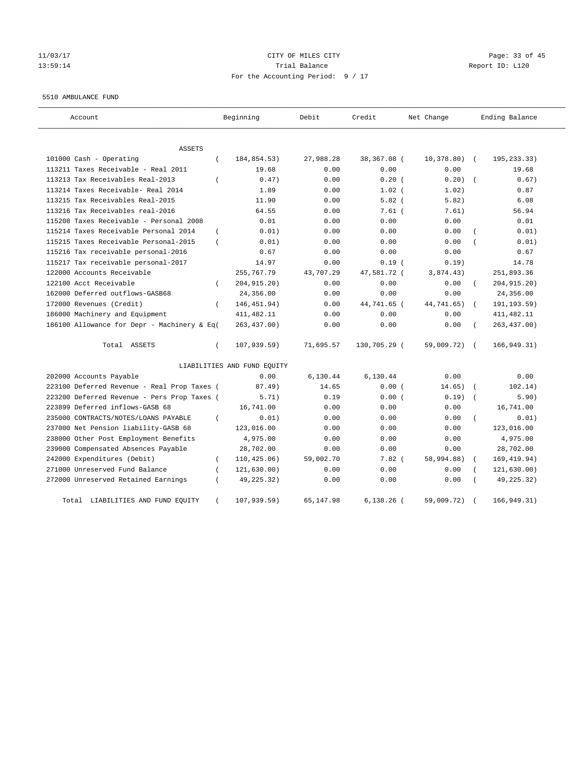# 11/03/17 Page: 33 of 45 13:59:14 Trial Balance Report ID: L120 For the Accounting Period: 9 / 17

#### 5510 AMBULANCE FUND

| Account                                                 | Beginning                   | Debit     | Credit       | Net Change    | Ending Balance             |
|---------------------------------------------------------|-----------------------------|-----------|--------------|---------------|----------------------------|
| <b>ASSETS</b>                                           |                             |           |              |               |                            |
| 101000 Cash - Operating<br>$\left($                     | 184,854.53)                 | 27,988.28 | 38,367.08 (  | $10,378.80$ ( | 195,233.33)                |
| 113211 Taxes Receivable - Real 2011                     | 19.68                       | 0.00      | 0.00         | 0.00          | 19.68                      |
| 113213 Tax Receivables Real-2013<br>$\left($            | 0.47)                       | 0.00      | $0.20$ (     | 0.20)         | 0.67)                      |
| 113214 Taxes Receivable- Real 2014                      | 1.89                        | 0.00      | $1.02$ (     | 1.02)         | 0.87                       |
| 113215 Tax Receivables Real-2015                        | 11.90                       | 0.00      | $5.82$ (     | 5.82)         | 6.08                       |
| 113216 Tax Receivables real-2016                        | 64.55                       | 0.00      | $7.61$ $($   | 7.61)         | 56.94                      |
| 115208 Taxes Receivable - Personal 2008                 | 0.01                        | 0.00      | 0.00         | 0.00          | 0.01                       |
| 115214 Taxes Receivable Personal 2014<br>$\left($       | 0.01)                       | 0.00      | 0.00         | 0.00          | 0.01)                      |
| 115215 Taxes Receivable Personal-2015<br>$\overline{ }$ | 0.01)                       | 0.00      | 0.00         | 0.00          | 0.01)                      |
| 115216 Tax receivable personal-2016                     | 0.67                        | 0.00      | 0.00         | 0.00          | 0.67                       |
| 115217 Tax receivable personal-2017                     | 14.97                       | 0.00      | 0.19(        | 0.19)         | 14.78                      |
| 122000 Accounts Receivable                              | 255,767.79                  | 43,707.29 | 47,581.72 (  | 3,874.43)     | 251,893.36                 |
| 122100 Acct Receivable<br>$\left($                      | 204, 915. 20)               | 0.00      | 0.00         | 0.00          | 204, 915. 20)<br>$\left($  |
| 162000 Deferred outflows-GASB68                         | 24,356.00                   | 0.00      | 0.00         | 0.00          | 24,356.00                  |
| 172000 Revenues (Credit)<br>$\left($                    | 146, 451.94)                | 0.00      | 44,741.65 (  | 44,741.65)    | 191, 193.59)               |
| 186000 Machinery and Equipment                          | 411, 482.11                 | 0.00      | 0.00         | 0.00          | 411, 482.11                |
| 186100 Allowance for Depr - Machinery & Eq(             | 263, 437.00)                | 0.00      | 0.00         | 0.00          | 263, 437.00)               |
| Total ASSETS<br>$\left($                                | 107, 939.59)                | 71,695.57 | 130,705.29 ( | 59,009.72)    | 166, 949.31)<br>$\sqrt{2}$ |
|                                                         | LIABILITIES AND FUND EQUITY |           |              |               |                            |
| 202000 Accounts Payable                                 | 0.00                        | 6,130.44  | 6,130.44     | 0.00          | 0.00                       |
| 223100 Deferred Revenue - Real Prop Taxes (             | 87.49)                      | 14.65     | 0.00(        | 14.65)        | 102.14)                    |
| 223200 Deferred Revenue - Pers Prop Taxes (             | 5.71)                       | 0.19      | 0.00(        | 0.19)         | 5.90)                      |
| 223899 Deferred inflows-GASB 68                         | 16,741.00                   | 0.00      | 0.00         | 0.00          | 16,741.00                  |
| 235000 CONTRACTS/NOTES/LOANS PAYABLE<br>$\left($        | 0.01)                       | 0.00      | 0.00         | 0.00          | 0.01)                      |
| 237000 Net Pension liability-GASB 68                    | 123,016.00                  | 0.00      | 0.00         | 0.00          | 123,016.00                 |
| 238000 Other Post Employment Benefits                   | 4,975.00                    | 0.00      | 0.00         | 0.00          | 4,975.00                   |
| 239000 Compensated Absences Payable                     | 28,702.00                   | 0.00      | 0.00         | 0.00          | 28,702.00                  |
| 242000 Expenditures (Debit)<br>$\left($                 | 110, 425.06)                | 59,002.70 | $7.82$ (     | 58,994.88)    | 169, 419.94)               |
| 271000 Unreserved Fund Balance                          | 121, 630.00)                | 0.00      | 0.00         | 0.00          | 121,630.00)                |
| 272000 Unreserved Retained Earnings                     | 49, 225. 32)                | 0.00      | 0.00         | 0.00          | 49,225.32)                 |
| Total LIABILITIES AND FUND EQUITY<br>$\left($           | 107, 939.59)                | 65,147.98 | $6,138.26$ ( | 59,009.72)    | 166, 949.31)               |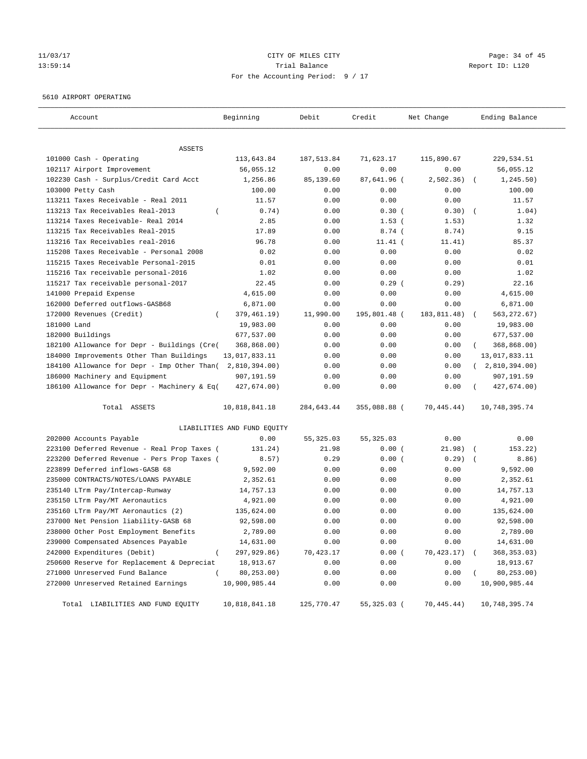## 11/03/17 Page: 34 of 45 13:59:14 Trial Balance Report ID: L120 For the Accounting Period: 9 / 17

#### 5610 AIRPORT OPERATING

| Account                                     | Beginning                   | Debit       | Credit       | Net Change   | Ending Balance |
|---------------------------------------------|-----------------------------|-------------|--------------|--------------|----------------|
|                                             |                             |             |              |              |                |
| ASSETS<br>101000 Cash - Operating           | 113,643.84                  | 187, 513.84 | 71,623.17    | 115,890.67   | 229,534.51     |
| 102117 Airport Improvement                  | 56,055.12                   | 0.00        | 0.00         | 0.00         | 56,055.12      |
| 102230 Cash - Surplus/Credit Card Acct      | 1,256.86                    | 85,139.60   | 87,641.96 (  | 2,502.36)    | 1, 245.50)     |
| 103000 Petty Cash                           | 100.00                      | 0.00        | 0.00         | 0.00         | 100.00         |
| 113211 Taxes Receivable - Real 2011         | 11.57                       | 0.00        | 0.00         | 0.00         | 11.57          |
| 113213 Tax Receivables Real-2013            | 0.74)                       | 0.00        | 0.30(        | 0.30)        | 1.04)          |
| 113214 Taxes Receivable- Real 2014          | 2.85                        | 0.00        | $1.53$ (     | 1.53)        | 1.32           |
| 113215 Tax Receivables Real-2015            | 17.89                       | 0.00        | 8.74(        | 8.74)        | 9.15           |
| 113216 Tax Receivables real-2016            | 96.78                       | 0.00        | $11.41$ (    | 11.41)       | 85.37          |
| 115208 Taxes Receivable - Personal 2008     | 0.02                        | 0.00        | 0.00         | 0.00         | 0.02           |
| 115215 Taxes Receivable Personal-2015       | 0.01                        | 0.00        | 0.00         | 0.00         | 0.01           |
| 115216 Tax receivable personal-2016         | 1.02                        | 0.00        | 0.00         | 0.00         | 1.02           |
| 115217 Tax receivable personal-2017         | 22.45                       | 0.00        | $0.29$ (     | 0.29)        | 22.16          |
| 141000 Prepaid Expense                      | 4,615.00                    | 0.00        | 0.00         | 0.00         | 4,615.00       |
| 162000 Deferred outflows-GASB68             | 6,871.00                    | 0.00        | 0.00         | 0.00         | 6,871.00       |
| 172000 Revenues (Credit)<br>$\left($        | 379,461.19)                 | 11,990.00   | 195,801.48 ( | 183, 811.48) | 563, 272.67)   |
| 181000 Land                                 | 19,983.00                   | 0.00        | 0.00         | 0.00         | 19,983.00      |
| 182000 Buildings                            | 677,537.00                  | 0.00        | 0.00         | 0.00         | 677,537.00     |
| 182100 Allowance for Depr - Buildings (Cre( | 368,868.00)                 | 0.00        | 0.00         | 0.00         | 368,868.00)    |
| 184000 Improvements Other Than Buildings    | 13,017,833.11               | 0.00        | 0.00         | 0.00         | 13,017,833.11  |
| 184100 Allowance for Depr - Imp Other Than( | 2,810,394.00)               | 0.00        | 0.00         | 0.00         | 2,810,394.00)  |
| 186000 Machinery and Equipment              | 907,191.59                  | 0.00        | 0.00         | 0.00         | 907,191.59     |
| 186100 Allowance for Depr - Machinery & Eq( | 427,674.00)                 | 0.00        | 0.00         | 0.00         | 427,674.00)    |
|                                             |                             |             |              |              |                |
| Total ASSETS                                | 10,818,841.18               | 284,643.44  | 355,088.88 ( | 70,445.44)   | 10,748,395.74  |
|                                             | LIABILITIES AND FUND EQUITY |             |              |              |                |
| 202000 Accounts Payable                     | 0.00                        | 55, 325.03  | 55, 325.03   | 0.00         | 0.00           |
| 223100 Deferred Revenue - Real Prop Taxes ( | 131.24)                     | 21.98       | 0.00(        | 21.98)       | 153.22)        |
| 223200 Deferred Revenue - Pers Prop Taxes ( | 8.57)                       | 0.29        | 0.00(        | 0.29)        | 8.86)          |
| 223899 Deferred inflows-GASB 68             | 9,592.00                    | 0.00        | 0.00         | 0.00         | 9,592.00       |
| 235000 CONTRACTS/NOTES/LOANS PAYABLE        | 2,352.61                    | 0.00        | 0.00         | 0.00         | 2,352.61       |
| 235140 LTrm Pay/Intercap-Runway             | 14,757.13                   | 0.00        | 0.00         | 0.00         | 14,757.13      |
| 235150 LTrm Pay/MT Aeronautics              | 4,921.00                    | 0.00        | 0.00         | 0.00         | 4,921.00       |
| 235160 LTrm Pay/MT Aeronautics (2)          | 135,624.00                  | 0.00        | 0.00         | 0.00         | 135,624.00     |
| 237000 Net Pension liability-GASB 68        | 92,598.00                   | 0.00        | 0.00         | 0.00         | 92,598.00      |
| 238000 Other Post Employment Benefits       | 2,789.00                    | 0.00        | 0.00         | 0.00         | 2,789.00       |
| 239000 Compensated Absences Payable         | 14,631.00                   | 0.00        | 0.00         | 0.00         | 14,631.00      |
| 242000 Expenditures (Debit)                 | 297,929.86)                 | 70,423.17   | 0.00(        | 70,423.17)   | 368, 353.03)   |
| 250600 Reserve for Replacement & Depreciat  | 18,913.67                   | 0.00        | 0.00         | 0.00         | 18,913.67      |
| 271000 Unreserved Fund Balance              | 80,253.00)                  | 0.00        | 0.00         | 0.00         | 80,253.00)     |
| 272000 Unreserved Retained Earnings         | 10,900,985.44               | 0.00        | 0.00         | 0.00         | 10,900,985.44  |
| Total LIABILITIES AND FUND EQUITY           | 10,818,841.18               | 125,770.47  | 55,325.03 (  | 70,445.44)   | 10,748,395.74  |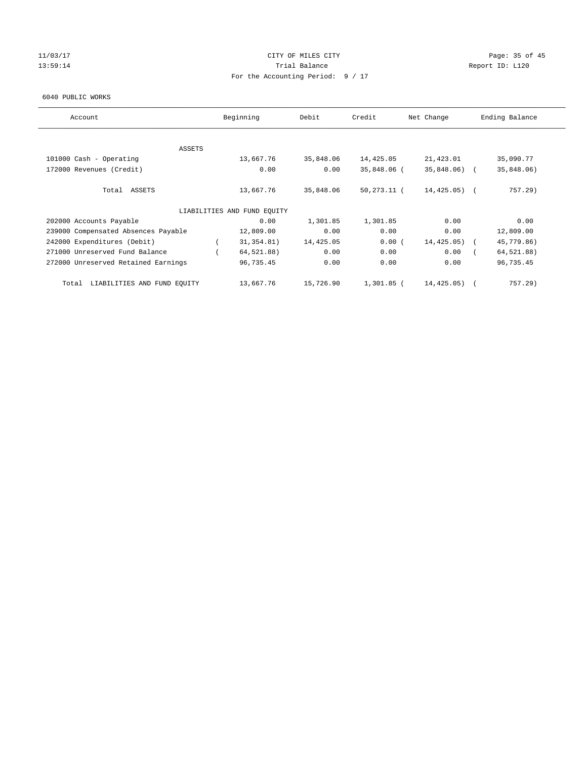## 11/03/17 Page: 35 of 45 13:59:14 **Trial Balance Trial Balance Report ID:** L120 For the Accounting Period: 9 / 17

#### 6040 PUBLIC WORKS

| Account                              | Beginning                   | Debit     | Credit         | Net Change      | Ending Balance |
|--------------------------------------|-----------------------------|-----------|----------------|-----------------|----------------|
|                                      |                             |           |                |                 |                |
| ASSETS                               |                             |           |                |                 |                |
| 101000 Cash - Operating              | 13,667.76                   | 35,848.06 | 14,425.05      | 21,423.01       | 35,090.77      |
| 172000 Revenues (Credit)             | 0.00                        | 0.00      | 35,848.06 (    | $35,848.06$ (   | 35,848.06)     |
| Total ASSETS                         | 13,667.76                   | 35,848.06 | $50, 273.11$ ( | $14, 425.05)$ ( | 757.29)        |
|                                      | LIABILITIES AND FUND EQUITY |           |                |                 |                |
| 202000 Accounts Payable              | 0.00                        | 1,301.85  | 1,301.85       | 0.00            | 0.00           |
| 239000 Compensated Absences Payable  | 12,809.00                   | 0.00      | 0.00           | 0.00            | 12,809.00      |
| 242000 Expenditures (Debit)          | 31, 354.81)                 | 14,425.05 | 0.00(          | 14,425.05)      | 45,779.86)     |
| 271000 Unreserved Fund Balance       | 64,521.88)                  | 0.00      | 0.00           | 0.00            | 64,521.88)     |
| 272000 Unreserved Retained Earnings  | 96,735.45                   | 0.00      | 0.00           | 0.00            | 96,735.45      |
| LIABILITIES AND FUND EQUITY<br>Total | 13,667.76                   | 15,726.90 | 1,301.85 (     | 14,425.05)      | $757.29$ )     |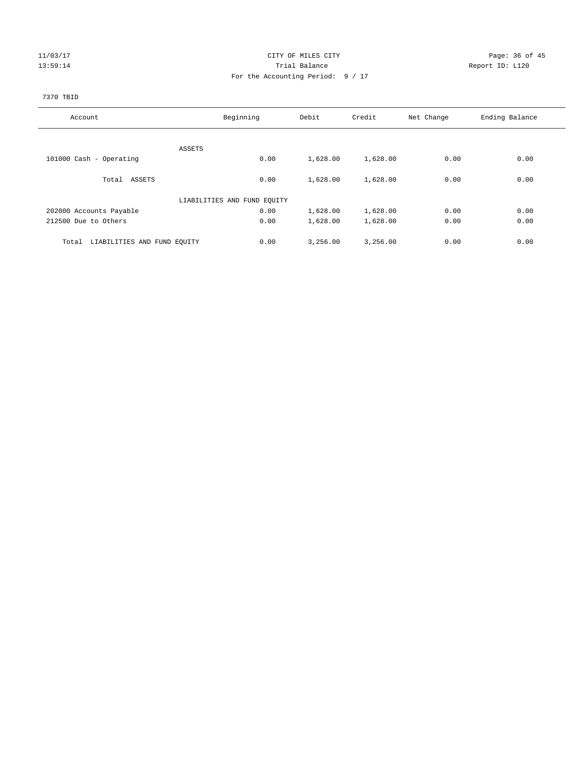## 11/03/17 Page: 36 of 45 13:59:14 **Trial Balance Trial Balance Report ID:** L120 For the Accounting Period: 9 / 17

## 7370 TBID

| Account                              | Beginning                   | Debit    | Credit   | Net Change | Ending Balance |
|--------------------------------------|-----------------------------|----------|----------|------------|----------------|
|                                      |                             |          |          |            |                |
|                                      | ASSETS                      |          |          |            |                |
| 101000 Cash - Operating              | 0.00                        | 1,628.00 | 1,628.00 | 0.00       | 0.00           |
| Total ASSETS                         | 0.00                        | 1,628.00 | 1,628.00 | 0.00       | 0.00           |
|                                      | LIABILITIES AND FUND EQUITY |          |          |            |                |
| 202000 Accounts Payable              | 0.00                        | 1,628.00 | 1,628.00 | 0.00       | 0.00           |
| 212500 Due to Others                 | 0.00                        | 1,628.00 | 1,628.00 | 0.00       | 0.00           |
| LIABILITIES AND FUND EQUITY<br>Total | 0.00                        | 3,256.00 | 3,256.00 | 0.00       | 0.00           |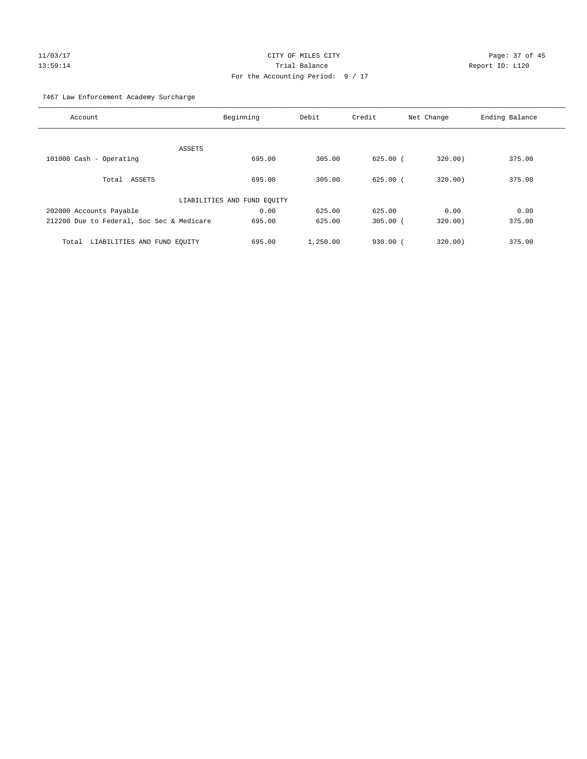# 11/03/17 Page: 37 of 45 13:59:14 Trial Balance Report ID: L120 For the Accounting Period: 9 / 17

7467 Law Enforcement Academy Surcharge

| Account                                   | Beginning                   | Debit    | Credit       | Net Change | Ending Balance |
|-------------------------------------------|-----------------------------|----------|--------------|------------|----------------|
|                                           |                             |          |              |            |                |
| ASSETS                                    |                             |          |              |            |                |
| 101000 Cash - Operating                   | 695.00                      | 305.00   | $625.00$ $($ | 320.00)    | 375.00         |
|                                           |                             |          |              |            |                |
| Total<br>ASSETS                           | 695.00                      | 305.00   | $625.00$ (   | 320.00     | 375.00         |
|                                           |                             |          |              |            |                |
|                                           | LIABILITIES AND FUND EQUITY |          |              |            |                |
| 202000 Accounts Payable                   | 0.00                        | 625.00   | 625.00       | 0.00       | 0.00           |
| 212200 Due to Federal, Soc Sec & Medicare | 695.00                      | 625.00   | $305.00$ (   | 320.00)    | 375.00         |
|                                           |                             |          |              |            |                |
| LIABILITIES AND FUND EQUITY<br>Total      | 695.00                      | 1,250.00 | $930.00$ $($ | 320.00     | 375.00         |
|                                           |                             |          |              |            |                |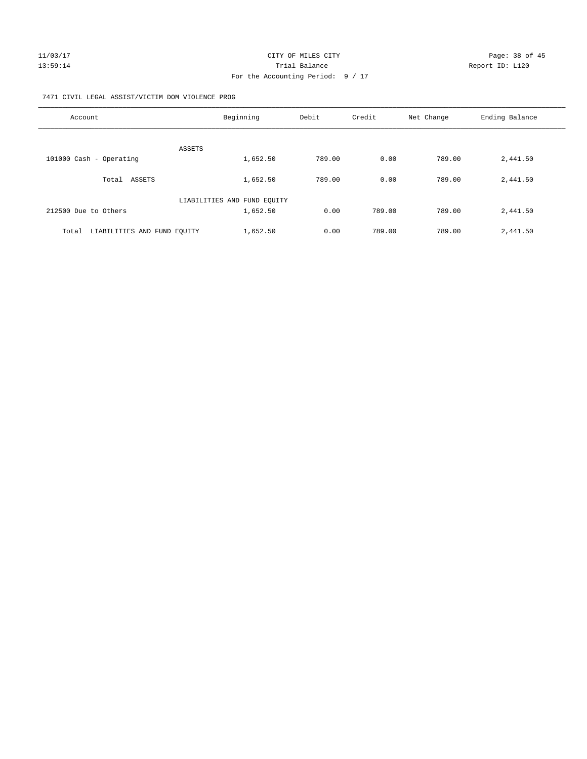## 7471 CIVIL LEGAL ASSIST/VICTIM DOM VIOLENCE PROG

| Account                              | Beginning                   | Debit  | Credit | Net Change | Ending Balance |
|--------------------------------------|-----------------------------|--------|--------|------------|----------------|
|                                      |                             |        |        |            |                |
|                                      | ASSETS                      |        |        |            |                |
| 101000 Cash - Operating              | 1,652.50                    | 789.00 | 0.00   | 789.00     | 2,441.50       |
| ASSETS<br>Total                      | 1,652.50                    | 789.00 | 0.00   | 789.00     | 2,441.50       |
|                                      | LIABILITIES AND FUND EQUITY |        |        |            |                |
| 212500 Due to Others                 | 1,652.50                    | 0.00   | 789.00 | 789.00     | 2,441.50       |
|                                      |                             |        |        |            |                |
| LIABILITIES AND FUND EOUITY<br>Total | 1,652.50                    | 0.00   | 789.00 | 789.00     | 2,441.50       |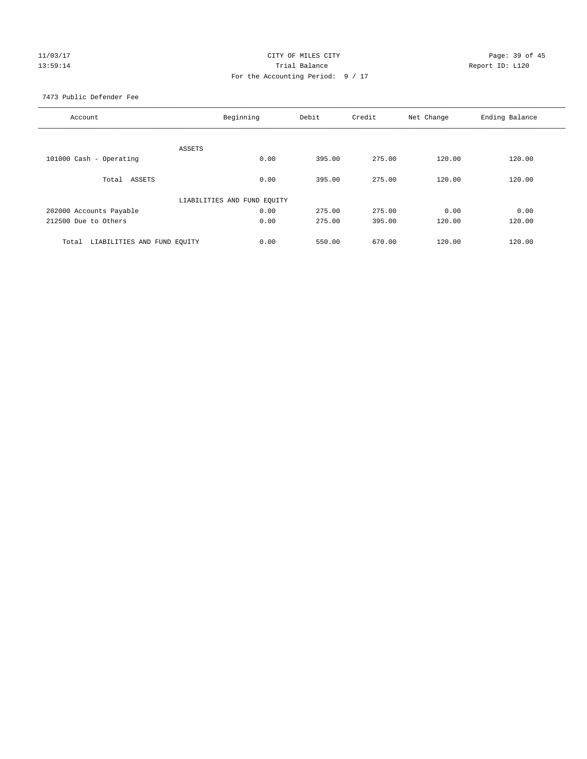## 11/03/17 Page: 39 of 45 13:59:14 **Trial Balance Trial Balance Report ID:** L120 For the Accounting Period: 9 / 17

7473 Public Defender Fee

| Account                              | Beginning                   | Debit  | Credit | Net Change | Ending Balance |
|--------------------------------------|-----------------------------|--------|--------|------------|----------------|
|                                      |                             |        |        |            |                |
|                                      | ASSETS                      |        |        |            |                |
| 101000 Cash - Operating              | 0.00                        | 395.00 | 275.00 | 120.00     | 120.00         |
|                                      |                             |        |        |            |                |
| Total ASSETS                         | 0.00                        | 395.00 | 275.00 | 120.00     | 120.00         |
|                                      |                             |        |        |            |                |
|                                      | LIABILITIES AND FUND EQUITY |        |        |            |                |
| 202000 Accounts Payable              | 0.00                        | 275.00 | 275.00 | 0.00       | 0.00           |
| 212500 Due to Others                 | 0.00                        | 275.00 | 395.00 | 120.00     | 120.00         |
|                                      |                             |        |        |            |                |
| LIABILITIES AND FUND EQUITY<br>Total | 0.00                        | 550.00 | 670.00 | 120.00     | 120.00         |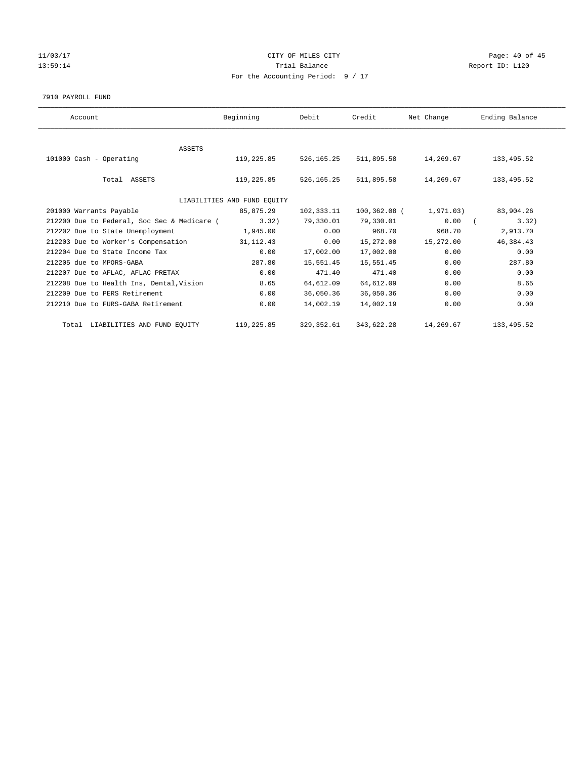## 11/03/17 Page: 40 of 45 13:59:14 **Trial Balance Trial Balance Report ID:** L120 For the Accounting Period: 9 / 17

#### 7910 PAYROLL FUND

| Account                                     | Beginning                   | Debit       | Credit       | Net Change | Ending Balance |  |
|---------------------------------------------|-----------------------------|-------------|--------------|------------|----------------|--|
|                                             |                             |             |              |            |                |  |
| <b>ASSETS</b>                               |                             |             |              |            |                |  |
| 101000 Cash - Operating                     | 119,225.85                  | 526, 165.25 | 511,895.58   | 14,269.67  | 133,495.52     |  |
|                                             |                             |             |              |            |                |  |
| Total ASSETS                                | 119,225.85                  | 526,165.25  | 511,895.58   | 14,269.67  | 133,495.52     |  |
|                                             |                             |             |              |            |                |  |
|                                             | LIABILITIES AND FUND EQUITY |             |              |            |                |  |
| 201000 Warrants Payable                     | 85,875.29                   | 102,333.11  | 100,362.08 ( | 1,971.03)  | 83,904.26      |  |
| 212200 Due to Federal, Soc Sec & Medicare ( | 3.32                        | 79,330.01   | 79,330.01    | 0.00       | 3.32)          |  |
| 212202 Due to State Unemployment            | 1,945.00                    | 0.00        | 968.70       | 968.70     | 2,913.70       |  |
| 212203 Due to Worker's Compensation         | 31, 112. 43                 | 0.00        | 15,272.00    | 15,272.00  | 46, 384. 43    |  |
| 212204 Due to State Income Tax              | 0.00                        | 17,002.00   | 17,002.00    | 0.00       | 0.00           |  |
| 212205 due to MPORS-GABA                    | 287.80                      | 15,551.45   | 15,551.45    | 0.00       | 287.80         |  |
| 212207 Due to AFLAC, AFLAC PRETAX           | 0.00                        | 471.40      | 471.40       | 0.00       | 0.00           |  |
| 212208 Due to Health Ins, Dental, Vision    | 8.65                        | 64,612.09   | 64,612.09    | 0.00       | 8.65           |  |
| 212209 Due to PERS Retirement               | 0.00                        | 36,050.36   | 36,050.36    | 0.00       | 0.00           |  |
| 212210 Due to FURS-GABA Retirement          | 0.00                        | 14,002.19   | 14,002.19    | 0.00       | 0.00           |  |
|                                             |                             |             |              |            |                |  |
| Total LIABILITIES AND FUND EQUITY           | 119,225.85                  | 329, 352.61 | 343,622.28   | 14,269.67  | 133, 495.52    |  |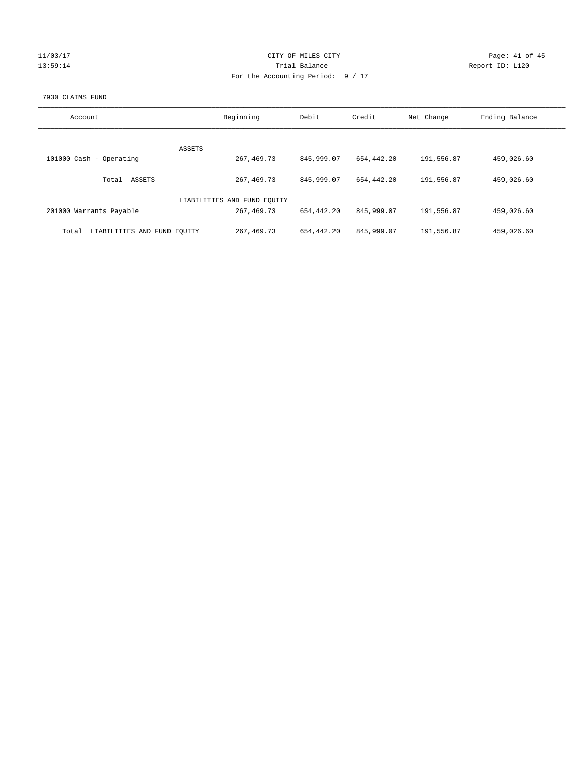| L/03/1  |  |
|---------|--|
| ц.<br>y |  |

## CITY OF MILES CITY Page: 41 of 45<br>
Trial Balance Report ID: L120 13:59:14 **Trial Balance Report ID:** L120 For the Accounting Period: 9 / 17

## 7930 CLAIMS FUND

| Account                              | Beginning                   | Debit      | Credit     | Net Change | Ending Balance |
|--------------------------------------|-----------------------------|------------|------------|------------|----------------|
|                                      |                             |            |            |            |                |
|                                      | ASSETS                      |            |            |            |                |
| 101000 Cash - Operating              | 267, 469. 73                | 845,999.07 | 654,442.20 | 191,556.87 | 459,026.60     |
| ASSETS<br>Total                      | 267, 469. 73                | 845,999.07 | 654,442.20 | 191,556.87 | 459,026.60     |
|                                      | LIABILITIES AND FUND EQUITY |            |            |            |                |
| 201000 Warrants Payable              | 267, 469. 73                | 654,442.20 | 845,999.07 | 191,556.87 | 459,026.60     |
| LIABILITIES AND FUND EQUITY<br>Total | 267, 469. 73                | 654,442.20 | 845,999.07 | 191,556.87 | 459,026.60     |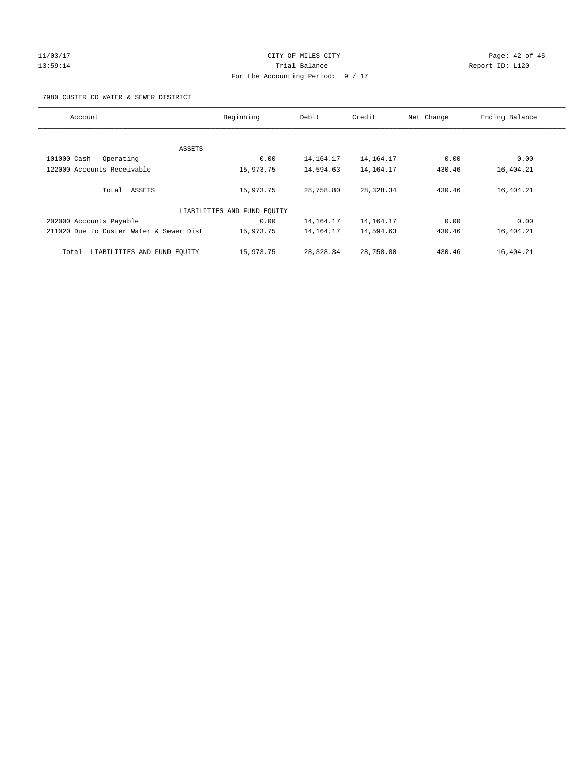# 11/03/17 Page: 42 of 45 13:59:14 **Trial Balance Trial Balance Report ID:** L120 For the Accounting Period: 9 / 17

7980 CUSTER CO WATER & SEWER DISTRICT

| Account                                 | Beginning                   | Debit       | Credit      | Net Change | Ending Balance |
|-----------------------------------------|-----------------------------|-------------|-------------|------------|----------------|
|                                         |                             |             |             |            |                |
|                                         | ASSETS                      |             |             |            |                |
| 101000 Cash - Operating                 | 0.00                        | 14, 164. 17 | 14, 164. 17 | 0.00       | 0.00           |
| 122000 Accounts Receivable              | 15,973.75                   | 14,594.63   | 14,164.17   | 430.46     | 16,404.21      |
| Total ASSETS                            | 15,973.75                   | 28,758.80   | 28, 328.34  | 430.46     | 16,404.21      |
|                                         | LIABILITIES AND FUND EQUITY |             |             |            |                |
| 202000 Accounts Payable                 | 0.00                        | 14, 164. 17 | 14, 164. 17 | 0.00       | 0.00           |
| 211020 Due to Custer Water & Sewer Dist | 15,973.75                   | 14, 164. 17 | 14,594.63   | 430.46     | 16,404.21      |
| LIABILITIES AND FUND EQUITY<br>Total    | 15,973.75                   | 28,328.34   | 28,758.80   | 430.46     | 16,404.21      |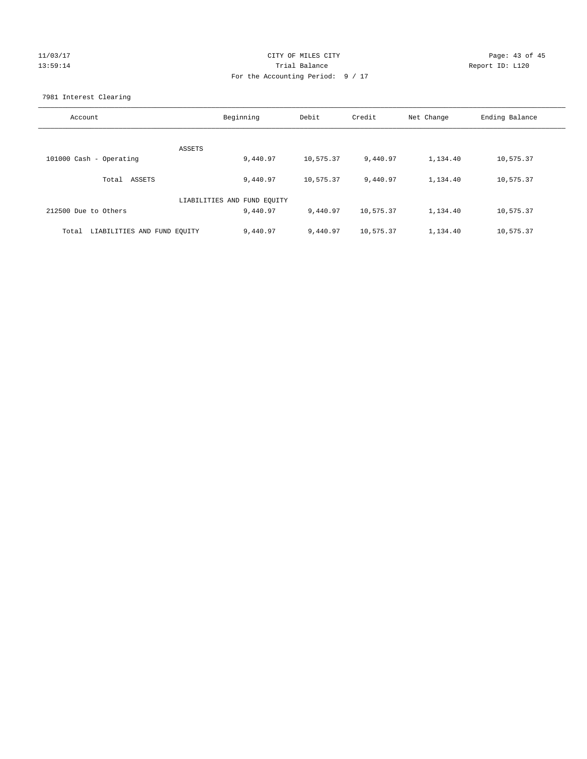## 11/03/17 Page: 43 of 45 13:59:14 **Trial Balance Trial Balance Report ID:** L120 For the Accounting Period: 9 / 17

7981 Interest Clearing

| Account                              | Beginning                   | Debit     | Credit    | Net Change | Ending Balance |
|--------------------------------------|-----------------------------|-----------|-----------|------------|----------------|
|                                      |                             |           |           |            |                |
|                                      | ASSETS                      |           |           |            |                |
| 101000 Cash - Operating              | 9,440.97                    | 10,575.37 | 9,440.97  | 1,134.40   | 10,575.37      |
| Total ASSETS                         | 9,440.97                    | 10,575.37 | 9,440.97  | 1,134.40   | 10,575.37      |
|                                      | LIABILITIES AND FUND EQUITY |           |           |            |                |
| 212500 Due to Others                 | 9,440.97                    | 9,440.97  | 10,575.37 | 1,134.40   | 10,575.37      |
| LIABILITIES AND FUND EQUITY<br>Total | 9,440.97                    | 9,440.97  | 10,575.37 | 1,134.40   | 10,575.37      |
|                                      |                             |           |           |            |                |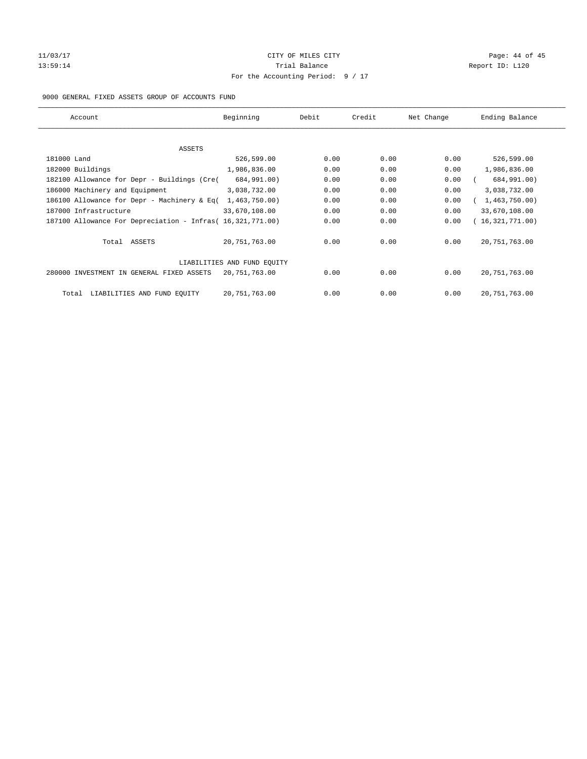# 11/03/17 Page: 44 of 45 13:59:14 **Trial Balance Trial Balance Report ID:** L120 For the Accounting Period: 9 / 17

## 9000 GENERAL FIXED ASSETS GROUP OF ACCOUNTS FUND

| Account                                                    | Beginning                   | Debit | Credit | Net Change | Ending Balance  |
|------------------------------------------------------------|-----------------------------|-------|--------|------------|-----------------|
| ASSETS                                                     |                             |       |        |            |                 |
| 181000 Land                                                | 526,599.00                  | 0.00  | 0.00   | 0.00       | 526,599.00      |
| 182000 Buildings                                           | 1,986,836.00                | 0.00  | 0.00   | 0.00       | 1,986,836.00    |
| 182100 Allowance for Depr - Buildings (Cre(                | 684,991.00)                 | 0.00  | 0.00   | 0.00       | 684,991.00)     |
| 186000 Machinery and Equipment                             | 3,038,732.00                | 0.00  | 0.00   | 0.00       | 3,038,732.00    |
| 186100 Allowance for Depr - Machinery & Eq(                | 1,463,750.00                | 0.00  | 0.00   | 0.00       | 1,463,750.00    |
| 187000 Infrastructure                                      | 33,670,108.00               | 0.00  | 0.00   | 0.00       | 33,670,108.00   |
| 187100 Allowance For Depreciation - Infras( 16,321,771.00) |                             | 0.00  | 0.00   | 0.00       | 16,321,771.00)  |
| Total ASSETS                                               | 20, 751, 763.00             | 0.00  | 0.00   | 0.00       | 20, 751, 763.00 |
|                                                            | LIABILITIES AND FUND EQUITY |       |        |            |                 |
| 280000 INVESTMENT IN GENERAL FIXED ASSETS                  | 20,751,763.00               | 0.00  | 0.00   | 0.00       | 20, 751, 763.00 |
| LIABILITIES AND FUND EQUITY<br>Total                       | 20,751,763.00               | 0.00  | 0.00   | 0.00       | 20, 751, 763.00 |